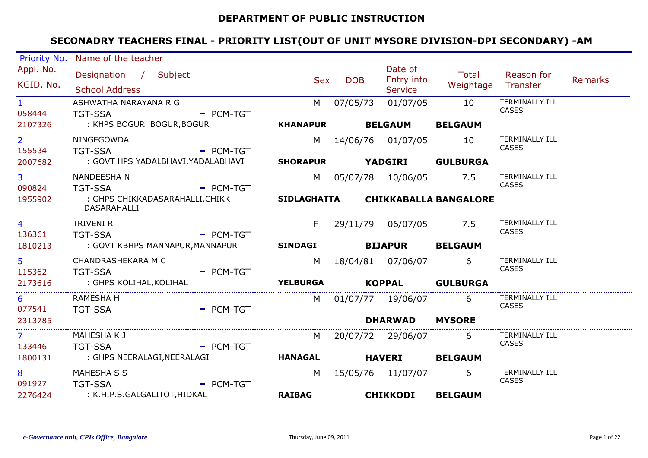### **DEPARTMENT OF PUBLIC INSTRUCTION**

|                          | Priority No. Name of the teacher                                |             |                 |            |                              |                                    |                                       |                |
|--------------------------|-----------------------------------------------------------------|-------------|-----------------|------------|------------------------------|------------------------------------|---------------------------------------|----------------|
| Appl. No.<br>KGID. No.   | Designation / Subject<br><b>School Address</b>                  |             | <b>Sex</b>      | <b>DOB</b> | Date of<br><b>Entry into</b> | <b>Total</b><br>Weightage Transfer | Reason for                            | <b>Remarks</b> |
|                          |                                                                 |             |                 |            | <b>Service</b>               |                                    |                                       |                |
| $1 -$<br>058444          | ASHWATHA NARAYANA R G<br><b>TGT-SSA</b>                         | $=$ PCM-TGT | M               | 07/05/73   | 01/07/05                     | 10                                 | <b>TERMINALLY ILL</b><br><b>CASES</b> |                |
| 2107326                  | : KHPS BOGUR BOGUR, BOGUR                                       |             | <b>KHANAPUR</b> |            | <b>BELGAUM</b>               | <b>BELGAUM</b>                     |                                       |                |
| $\overline{2}$<br>155534 | NINGEGOWDA<br><b>TGT-SSA</b>                                    | $=$ PCM-TGT | M               |            | 14/06/76 01/07/05            | 10                                 | <b>TERMINALLY ILL</b><br><b>CASES</b> |                |
| 2007682                  | : GOVT HPS YADALBHAVI,YADALABHAVI                               |             | <b>SHORAPUR</b> |            | <b>YADGIRI</b>               | <b>GULBURGA</b>                    |                                       |                |
| $\overline{3}$           | NANDEESHA N                                                     |             | M l             |            |                              | 7.5                                | <b>TERMINALLY ILL</b><br><b>CASES</b> |                |
| 090824<br>1955902        | <b>TGT-SSA</b><br>: GHPS CHIKKADASARAHALLI,CHIKK<br>DASARAHALLI | $PCM-TGT$   |                 |            |                              | SIDLAGHATTA CHIKKABALLA BANGALORE  |                                       |                |
| $\overline{4}$           | TRIVENI R                                                       |             | F               |            | 29/11/79 06/07/05            | 7.5                                | TERMINALLY ILL<br><b>CASES</b>        |                |
| 136361<br>1810213        | <b>TGT-SSA</b><br>: GOVT KBHPS MANNAPUR, MANNAPUR               | $-$ PCM-TGT | <b>SINDAGI</b>  |            | <b>BIJAPUR</b>               | <b>BELGAUM</b>                     |                                       |                |
| 5 <sup>1</sup><br>115362 | CHANDRASHEKARA M C<br><b>TGT-SSA</b>                            | $-$ PCM-TGT | M               |            |                              | 6                                  | TERMINALLY ILL<br><b>CASES</b>        |                |
| 2173616                  | : GHPS KOLIHAL,KOLIHAL                                          |             | <b>YELBURGA</b> |            | <b>KOPPAL</b>                | <b>GULBURGA</b>                    |                                       |                |
| 6<br>077541              | RAMESHA H<br><b>TGT-SSA</b>                                     | $=$ PCM-TGT | M               |            | 01/07/77 19/06/07            | 6                                  | TERMINALLY ILL<br><b>CASES</b>        |                |
| 2313785                  |                                                                 |             |                 |            | <b>DHARWAD</b>               | <b>MYSORE</b>                      |                                       |                |
| 7 <sup>7</sup><br>133446 | MAHESHA K J<br><b>TGT-SSA</b>                                   | $-$ PCM-TGT | M               |            | 20/07/72 29/06/07            | 6                                  | TERMINALLY ILL<br><b>CASES</b>        |                |
| 1800131                  | : GHPS NEERALAGI, NEERALAGI                                     |             | <b>HANAGAL</b>  |            | <b>HAVERI</b>                | <b>BELGAUM</b>                     |                                       |                |
| 8<br>091927              | MAHESHA S S<br><b>TGT-SSA</b>                                   | $-$ PCM-TGT | M               |            | 15/05/76 11/07/07            | 6                                  | <b>TERMINALLY ILL</b><br><b>CASES</b> |                |
| 2276424                  | : K.H.P.S.GALGALITOT,HIDKAL                                     |             | <b>RAIBAG</b>   |            | <b>CHIKKODI</b>              | <b>BELGAUM</b>                     |                                       |                |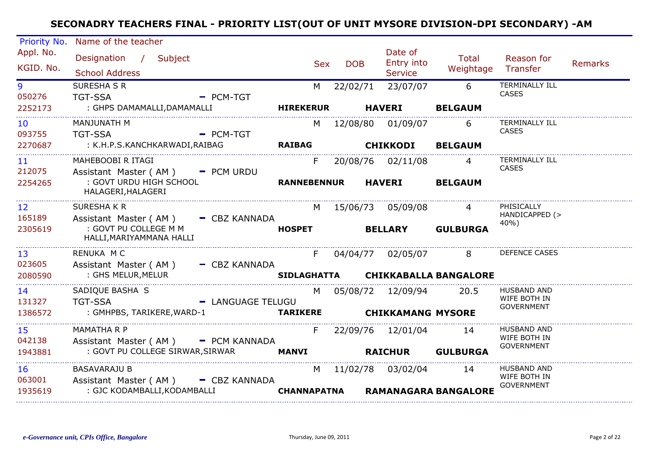| Priority No.              | Name of the teacher                                         |                   |                    |            |                                  |                              |                                                         |                |
|---------------------------|-------------------------------------------------------------|-------------------|--------------------|------------|----------------------------------|------------------------------|---------------------------------------------------------|----------------|
| Appl. No.<br>KGID. No.    | Designation / Subject<br><b>School Address</b>              |                   | <b>Sex</b>         | <b>DOB</b> | Date of<br>Entry into<br>Service | Total<br>Weightage           | Reason for<br>Transfer                                  | <b>Remarks</b> |
| 9<br>050276               | SURESHA S R<br><b>TGT-SSA</b>                               | $=$ PCM-TGT       | M                  | 22/02/71   | 23/07/07                         | 6                            | <b>TERMINALLY ILL</b><br>CASES                          |                |
| 2252173                   | : GHPS DAMAMALLI, DAMAMALLI                                 |                   | <b>HIREKERUR</b>   |            | <b>HAVERI</b>                    | <b>BELGAUM</b>               |                                                         |                |
| 10 <sup>°</sup><br>093755 | MANJUNATH M<br><b>TGT-SSA</b>                               | $=$ PCM-TGT       |                    |            | M 12/08/80 01/09/07              | 6                            | TERMINALLY ILL<br><b>CASES</b>                          |                |
| 2270687                   | : K.H.P.S.KANCHKARWADI,RAIBAG                               |                   | <b>RAIBAG</b>      |            | <b>CHIKKODI</b>                  | <b>BELGAUM</b>               |                                                         |                |
| 11<br>212075              | MAHEBOOBI R ITAGI<br>Assistant Master ( $AM$ ) $-$ PCM URDU |                   | F.                 |            | 20/08/76  02/11/08               | $\overline{4}$               | <b>TERMINALLY ILL</b><br><b>CASES</b>                   |                |
| 2254265                   | : GOVT URDU HIGH SCHOOL<br>HALAGERI, HALAGERI               |                   | <b>RANNEBENNUR</b> |            | <b>HAVERI</b>                    | <b>BELGAUM</b>               |                                                         |                |
| 12 <sup>2</sup><br>165189 | SURESHAKR<br>Assistant Master (AM) - CBZ KANNADA            |                   |                    |            | M 15/06/73 05/09/08              |                              | PHISICALLY<br>HANDICAPPED (>                            |                |
| 2305619                   | : GOVT PU COLLEGE M M<br>HALLI, MARIYAMMANA HALLI           |                   | <b>HOSPET</b>      |            | <b>BELLARY</b>                   | <b>GULBURGA</b>              | 40%)                                                    |                |
| 13<br>023605              | RENUKA M C<br>Assistant Master (AM) - CBZ KANNADA           |                   | F                  |            | 04/04/77 02/05/07                | 8                            | DEFENCE CASES                                           |                |
| 2080590                   | : GHS MELUR,MELUR                                           |                   | <b>SIDLAGHATTA</b> |            |                                  | <b>CHIKKABALLA BANGALORE</b> |                                                         |                |
| 14<br>131327              | SADIQUE BASHA S<br><b>TGT-SSA</b>                           | - LANGUAGE TELUGU | M                  |            | 05/08/72 12/09/94                | 20.5                         | <b>HUSBAND AND</b><br>WIFE BOTH IN<br><b>GOVERNMENT</b> |                |
| 1386572                   | : GMHPBS, TARIKERE,WARD-1                                   |                   | <b>TARIKERE</b>    |            | <b>CHIKKAMANG MYSORE</b>         |                              |                                                         |                |
| 15<br>042138              | <b>MAMATHA R P</b><br>Assistant Master (AM) - PCM KANNADA   |                   | F.                 |            | 22/09/76 12/01/04                | 14                           | <b>HUSBAND AND</b><br>WIFE BOTH IN<br><b>GOVERNMENT</b> |                |
| 1943881                   | : GOVT PU COLLEGE SIRWAR, SIRWAR                            |                   | <b>MANVI</b>       |            | <b>RAICHUR</b>                   | <b>GULBURGA</b>              |                                                         |                |
| 16<br>063001              | <b>BASAVARAJU B</b><br>Assistant Master (AM) - CBZ KANNADA  |                   |                    |            | M 11/02/78 03/02/04              | 14                           | <b>HUSBAND AND</b><br>WIFE BOTH IN                      |                |
| 1935619                   | : GJC KODAMBALLI, KODAMBALLI                                |                   | <b>CHANNAPATNA</b> |            |                                  | <b>RAMANAGARA BANGALORE</b>  | <b>GOVERNMENT</b>                                       |                |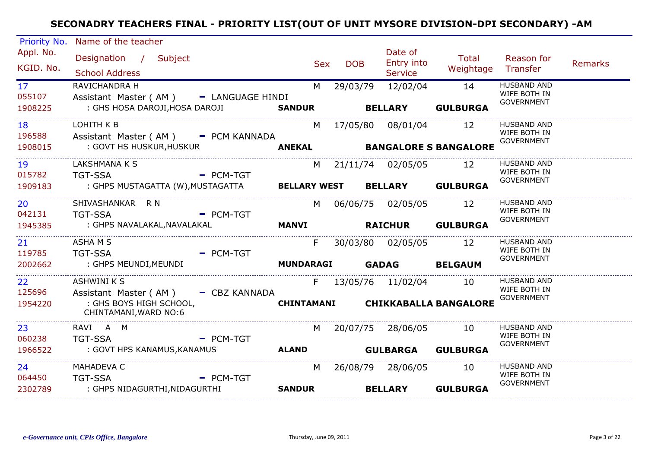| Priority No.                         | Name of the teacher                                                                                           |                     |            |            |                                         |                                        |                                                         |                |
|--------------------------------------|---------------------------------------------------------------------------------------------------------------|---------------------|------------|------------|-----------------------------------------|----------------------------------------|---------------------------------------------------------|----------------|
| Appl. No.<br>KGID. No.               | Designation / Subject<br><b>School Address</b>                                                                |                     | <b>Sex</b> | <b>DOB</b> | Date of<br>Entry into<br><b>Service</b> | Total<br>Weightage                     | Reason for<br>Transfer                                  | <b>Remarks</b> |
| 17 <sup>7</sup><br>055107<br>1908225 | RAVICHANDRA H<br>Assistant Master (AM) - LANGUAGE HINDI<br>: GHS HOSA DAROJI, HOSA DAROJI SANDUR              |                     | M          | 29/03/79   | 12/02/04<br><b>BELLARY</b>              | 14<br><b>GULBURGA</b>                  | <b>HUSBAND AND</b><br>WIFE BOTH IN<br><b>GOVERNMENT</b> |                |
| 18<br>196588<br>1908015              | LOHITH K B<br>Assistant Master (AM) - PCM KANNADA<br>: GOVT HS HUSKUR,HUSKUR                                  |                     | M          |            | 17/05/80  08/01/04                      | 12<br>ANEKAL BANGALORE S BANGALORE     | HUSBAND AND<br>WIFE BOTH IN<br><b>GOVERNMENT</b>        |                |
| 19<br>015782<br>1909183              | LAKSHMANA K S<br><b>TGT-SSA</b><br><b>Example 2</b> PCM-TGT<br>: GHPS MUSTAGATTA (W),MUSTAGATTA               | <b>BELLARY WEST</b> | M          |            | 21/11/74 02/05/05 12                    | <b>BELLARY GULBURGA</b>                | <b>HUSBAND AND</b><br>WIFE BOTH IN<br><b>GOVERNMENT</b> |                |
| 20<br>042131<br>1945385              | SHIVASHANKAR R N<br><b>TGT-SSA</b><br>$=$ PCM-TGT<br>: GHPS NAVALAKAL,NAVALAKAL                               | <b>MANVI</b>        | M          |            | 06/06/75 02/05/05<br><b>RAICHUR</b>     | 12<br><b>GULBURGA</b>                  | <b>HUSBAND AND</b><br>WIFE BOTH IN<br><b>GOVERNMENT</b> |                |
| 21<br>119785<br>2002662              | ASHA M S<br><b>TGT-SSA</b><br>$=$ PCM-TGT<br>: GHPS MEUNDI,MEUNDI                                             | <b>MUNDARAGI</b>    | F.         |            | 30/03/80 02/05/05<br>GADAG BELGAUM      | 12                                     | <b>HUSBAND AND</b><br>WIFE BOTH IN<br><b>GOVERNMENT</b> |                |
| 22<br>125696<br>1954220              | <b>ASHWINI K S</b><br>Assistant Master (AM) - CBZ KANNADA<br>: GHS BOYS HIGH SCHOOL,<br>CHINTAMANI, WARD NO:6 |                     |            |            | F 13/05/76 11/02/04                     | 10<br>CHINTAMANI CHIKKABALLA BANGALORE | <b>HUSBAND AND</b><br>WIFE BOTH IN<br><b>GOVERNMENT</b> |                |
| 23<br>060238<br>1966522              | RAVI A M<br><b>TGT-SSA</b><br>$-$ PCM-TGT<br>: GOVT HPS KANAMUS, KANAMUS                                      | <b>ALAND</b>        | M l        |            | 20/07/75 28/06/05<br><b>GULBARGA</b>    | 10<br><b>GULBURGA</b>                  | <b>HUSBAND AND</b><br>WIFE BOTH IN<br><b>GOVERNMENT</b> |                |
| 24<br>064450<br>2302789              | MAHADEVA C<br><b>TGT-SSA</b><br>$=$ PCM-TGT<br>: GHPS NIDAGURTHI,NIDAGURTHI                                   | <b>SANDUR</b>       | M          |            | 26/08/79 28/06/05<br><b>BELLARY</b>     | 10<br><b>GULBURGA</b>                  | <b>HUSBAND AND</b><br>WIFE BOTH IN<br><b>GOVERNMENT</b> |                |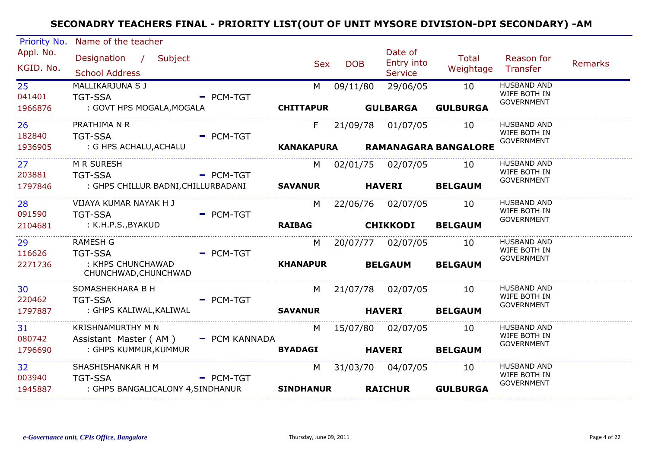| Priority No.                                 | Name of the teacher                                                                             |                |                       |               |                                         |                                 |                                                         |                |
|----------------------------------------------|-------------------------------------------------------------------------------------------------|----------------|-----------------------|---------------|-----------------------------------------|---------------------------------|---------------------------------------------------------|----------------|
| Appl. No.<br>KGID. No.                       | Designation / Subject<br><b>School Address</b>                                                  |                | <b>Sex</b>            | <b>DOB</b>    | Date of<br>Entry into<br><b>Service</b> | Total<br>Weightage              | Reason for<br>Transfer                                  | <b>Remarks</b> |
| 25 <sub>2</sub><br>041401<br>1966876         | MALLIKARJUNA S J<br><b>TGT-SSA</b><br>: GOVT HPS MOGALA, MOGALA                                 | $=$ PCM-TGT    | M<br><b>CHITTAPUR</b> | 09/11/80      | 29/06/05<br><b>GULBARGA</b>             | 10<br><b>GULBURGA</b>           | <b>HUSBAND AND</b><br>WIFE BOTH IN<br><b>GOVERNMENT</b> |                |
| 26<br>182840<br>1936905                      | PRATHIMA N R<br><b>TGT-SSA</b><br>: G HPS ACHALU,ACHALU                                         | - PCM-TGT      | $F =$                 |               | 21/09/78 01/07/05 10                    | KANAKAPURA RAMANAGARA BANGALORE | <b>HUSBAND AND</b><br>WIFE BOTH IN<br><b>GOVERNMENT</b> |                |
| 27<br>203881<br>1797846                      | M R SURESH<br><b>TGT-SSA</b><br><b>Example 2</b> PCM-TGT<br>: GHPS CHILLUR BADNI, CHILLURBADANI |                | <b>SAVANUR</b>        | <b>HAVERI</b> | M 02/01/75 02/07/05 10                  | <b>BELGAUM</b>                  | <b>HUSBAND AND</b><br>WIFE BOTH IN<br><b>GOVERNMENT</b> |                |
| 28<br>091590<br>2104681                      | VIJAYA KUMAR NAYAK H J<br><b>TGT-SSA</b><br>: K.H.P.S.,BYAKUD                                   | $=$ PCM-TGT    | M<br><b>RAIBAG</b>    |               | 22/06/76 02/07/05<br><b>CHIKKODI</b>    | 10<br><b>BELGAUM</b>            | <b>HUSBAND AND</b><br>WIFE BOTH IN<br><b>GOVERNMENT</b> |                |
| _________________<br>29<br>116626<br>2271736 | <b>RAMESH G</b><br><b>TGT-SSA</b><br>: KHPS CHUNCHAWAD<br>CHUNCHWAD, CHUNCHWAD                  | $=$ PCM-TGT    | M<br><b>KHANAPUR</b>  |               | 20/07/77 02/07/05<br><b>BELGAUM</b>     | 10<br><b>BELGAUM</b>            | <b>HUSBAND AND</b><br>WIFE BOTH IN<br><b>GOVERNMENT</b> |                |
| 30<br>220462<br>1797887                      | SOMASHEKHARA B H<br><b>TGT-SSA</b><br><b>Example 2 PCM-TGT</b><br>: GHPS KALIWAL,KALIWAL        | <b>SAVANUR</b> |                       | <b>HAVERI</b> | M 21/07/78 02/07/05 10                  | <b>BELGAUM</b>                  | <b>HUSBAND AND</b><br>WIFE BOTH IN<br><b>GOVERNMENT</b> |                |
| 31<br>080742<br>1796690                      | KRISHNAMURTHY M N<br>Assistant Master (AM) - PCM KANNADA<br>: GHPS KUMMUR, KUMMUR               |                | M<br><b>BYADAGI</b>   | <b>HAVERI</b> | 15/07/80  02/07/05                      | 10<br><b>BELGAUM</b>            | <b>HUSBAND AND</b><br>WIFE BOTH IN<br><b>GOVERNMENT</b> |                |
| 32 <sub>2</sub><br>003940<br>1945887         | SHASHISHANKAR H M<br><b>TGT-SSA</b><br>: GHPS BANGALICALONY 4,SINDHANUR                         | $=$ PCM-TGT    | M<br><b>SINDHANUR</b> |               | 31/03/70  04/07/05<br><b>RAICHUR</b>    | 10<br><b>GULBURGA</b>           | <b>HUSBAND AND</b><br>WIFE BOTH IN<br><b>GOVERNMENT</b> |                |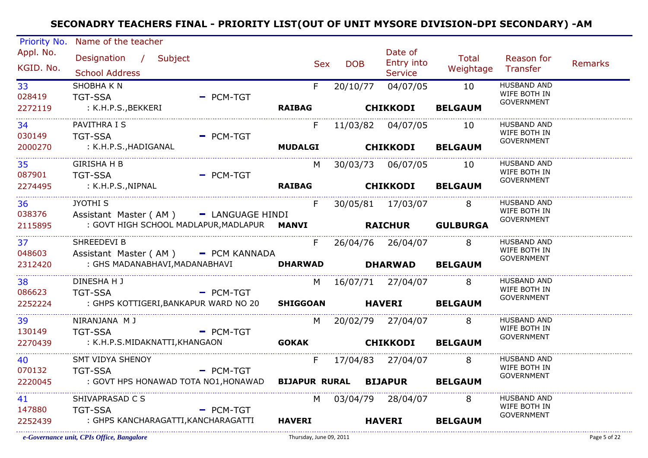| Priority No.                  | Name of the teacher                                                 |             |                                                                                                                                                                                                                                |            |                               |                             |                                   |                |
|-------------------------------|---------------------------------------------------------------------|-------------|--------------------------------------------------------------------------------------------------------------------------------------------------------------------------------------------------------------------------------|------------|-------------------------------|-----------------------------|-----------------------------------|----------------|
| Appl. No.<br>KGID. No.        | Designation / Subject                                               |             | <b>Sex</b>                                                                                                                                                                                                                     | <b>DOB</b> | Date of<br>Entry into         | Total<br>Weightage Transfer | Reason for                        | <b>Remarks</b> |
|                               | <b>School Address</b>                                               |             |                                                                                                                                                                                                                                |            | <b>Service</b>                |                             |                                   |                |
| 33                            | SHOBHA K N                                                          |             | F                                                                                                                                                                                                                              | 20/10/77   | 04/07/05 10                   |                             | <b>HUSBAND AND</b>                |                |
| 028419                        | <b>TGT-SSA</b>                                                      | $-$ PCM-TGT |                                                                                                                                                                                                                                |            |                               |                             | WIFE BOTH IN<br><b>GOVERNMENT</b> |                |
| 2272119                       | : K.H.P.S.,BEKKERI                                                  |             |                                                                                                                                                                                                                                |            | RAIBAG CHIKKODI               | <b>BELGAUM</b>              |                                   |                |
| 34                            | PAVITHRA I S                                                        |             | F.                                                                                                                                                                                                                             |            | 11/03/82 04/07/05 10          |                             | <b>HUSBAND AND</b>                |                |
| 030149                        | <b>TGT-SSA</b>                                                      | $-$ PCM-TGT |                                                                                                                                                                                                                                |            |                               |                             | WIFE BOTH IN<br><b>GOVERNMENT</b> |                |
| 2000270                       | : K.H.P.S.,HADIGANAL                                                |             |                                                                                                                                                                                                                                |            | MUDALGI CHIKKODI              | <b>BELGAUM</b>              |                                   |                |
| 35                            | <b>GIRISHA H B</b>                                                  |             | M                                                                                                                                                                                                                              |            | 30/03/73 06/07/05 10          |                             | <b>HUSBAND AND</b>                |                |
| 087901                        | <b>TGT-SSA</b>                                                      | - PCM-TGT   |                                                                                                                                                                                                                                |            |                               |                             | WIFE BOTH IN<br><b>GOVERNMENT</b> |                |
| 2274495                       | : K.H.P.S.,NIPNAL                                                   |             |                                                                                                                                                                                                                                |            | RAIBAG CHIKKODI BELGAUM       |                             |                                   |                |
| 36 7                          | <b>JYOTHI S</b>                                                     |             | F                                                                                                                                                                                                                              |            | 30/05/81 17/03/07 8           |                             | <b>HUSBAND AND</b>                |                |
| 038376                        | Assistant Master (AM) - LANGUAGE HINDI                              |             |                                                                                                                                                                                                                                |            |                               |                             | WIFE BOTH IN                      |                |
| 2115895                       | : GOVT HIGH SCHOOL MADLAPUR, MADLAPUR <b>MANVI RAICHUR GULBURGA</b> |             |                                                                                                                                                                                                                                |            |                               |                             | <b>GOVERNMENT</b>                 |                |
| ----------------------<br>37  | SHREEDEVI B                                                         |             |                                                                                                                                                                                                                                |            | F 26/04/76 26/04/07 8         |                             | <b>HUSBAND AND</b>                |                |
| 048603                        | Assistant Master (AM) - PCM KANNADA                                 |             |                                                                                                                                                                                                                                |            |                               |                             | WIFE BOTH IN<br><b>GOVERNMENT</b> |                |
| 2312420                       | : GHS MADANABHAVI, MADANABHAVI                                      |             |                                                                                                                                                                                                                                |            | DHARWAD DHARWAD BELGAUM       |                             |                                   |                |
| _______________________<br>38 | DINESHA H J                                                         |             |                                                                                                                                                                                                                                |            | M 16/07/71 27/04/07 8         |                             | <b>HUSBAND AND</b>                |                |
| 086623                        | <b>TGT-SSA</b>                                                      | - PCM-TGT   |                                                                                                                                                                                                                                |            |                               |                             | WIFE BOTH IN<br><b>GOVERNMENT</b> |                |
| 2252224                       | : GHPS KOTTIGERI, BANKAPUR WARD NO 20 SHIGGOAN HAVERI BELGAUM       |             |                                                                                                                                                                                                                                |            |                               |                             |                                   |                |
| 39                            | NIRANJANA M J                                                       |             |                                                                                                                                                                                                                                |            | M 20/02/79 27/04/07 8         |                             | <b>HUSBAND AND</b>                |                |
| 130149                        | <b>Example 2</b> PCM-TGT<br><b>TGT-SSA</b>                          |             |                                                                                                                                                                                                                                |            |                               |                             | WIFE BOTH IN<br><b>GOVERNMENT</b> |                |
| 2270439                       | : K.H.P.S.MIDAKNATTI,KHANGAON                                       |             | <b>GOKAK CHIKKODI BELGAUM</b>                                                                                                                                                                                                  |            |                               |                             |                                   |                |
| 40                            | SMT VIDYA SHENOY                                                    |             | F.                                                                                                                                                                                                                             |            | 17/04/83 27/04/07 8           |                             | <b>HUSBAND AND</b>                |                |
| 070132                        | TGT-SSA - PCM-TGT                                                   |             |                                                                                                                                                                                                                                |            |                               |                             | WIFE BOTH IN<br><b>GOVERNMENT</b> |                |
| 2220045                       | : GOVT HPS HONAWAD TOTA NO1,HONAWAD                                 |             |                                                                                                                                                                                                                                |            | BIJAPUR RURAL BIJAPUR BELGAUM |                             |                                   |                |
| 41                            | SHIVAPRASAD C S                                                     |             | M and the set of the set of the set of the set of the set of the set of the set of the set of the set of the set of the set of the set of the set of the set of the set of the set of the set of the set of the set of the set |            | 03/04/79 28/04/07 8           |                             | <b>HUSBAND AND</b>                |                |
| 147880                        | <b>TGT-SSA</b>                                                      | $=$ PCM-TGT |                                                                                                                                                                                                                                |            |                               |                             | WIFE BOTH IN<br><b>GOVERNMENT</b> |                |
| 2252439                       | : GHPS KANCHARAGATTI,KANCHARAGATTI                                  |             | <b>HAVERI</b>                                                                                                                                                                                                                  |            | <b>HAVERI</b>                 | <b>BELGAUM</b>              |                                   |                |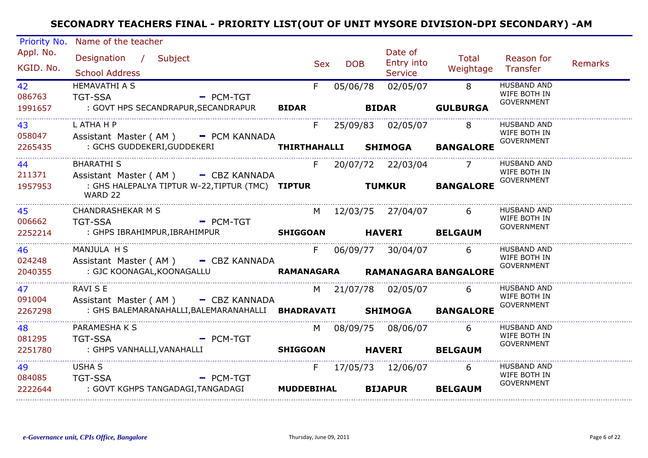| Priority No.            | Name of the teacher                                                                                                                     |                            |                   |                                                  |                                   |                                                         |                |
|-------------------------|-----------------------------------------------------------------------------------------------------------------------------------------|----------------------------|-------------------|--------------------------------------------------|-----------------------------------|---------------------------------------------------------|----------------|
| Appl. No.<br>KGID. No.  | Designation / Subject<br><b>School Address</b>                                                                                          |                            | <b>DOB</b><br>Sex | Date of<br>Entry into<br><b>Service</b>          | <b>Total</b><br>Weightage         | Reason for<br>Transfer                                  | <b>Remarks</b> |
| 42<br>086763<br>1991657 | <b>HEMAVATHI A S</b><br><b>TGT-SSA</b><br><b>Example 2 PCM-TGT</b><br>: GOVT HPS SECANDRAPUR, SECANDRAPUR BIDAR                         | F.                         | 05/06/78          | 02/05/07<br><b>BIDAR</b>                         | 8 <sup>8</sup><br><b>GULBURGA</b> | <b>HUSBAND AND</b><br>WIFE BOTH IN<br><b>GOVERNMENT</b> |                |
| 43<br>058047<br>2265435 | L ATHA H P<br>Assistant Master (AM) - PCM KANNADA                                                                                       |                            |                   | F 25/09/83 02/05/07 8                            | <b>BANGALORE</b>                  | HUSBAND AND<br>WIFE BOTH IN<br><b>GOVERNMENT</b>        |                |
| 44<br>211371<br>1957953 | <b>BHARATHI S</b><br>Assistant Master (AM) - CBZ KANNADA<br>: GHS HALEPALYA TIPTUR W-22,TIPTUR (TMC) TIPTUR TUMKUR BANGALORE<br>WARD 22 |                            |                   | F 20/07/72 22/03/04 7                            |                                   | <b>HUSBAND AND</b><br>WIFE BOTH IN<br><b>GOVERNMENT</b> |                |
| 45<br>006662<br>2252214 | <b>CHANDRASHEKAR M S</b><br>$\overline{P}$ PCM-TGT<br><b>TGT-SSA</b><br>: GHPS IBRAHIMPUR, IBRAHIMPUR <b>SHIGGOAN HAVERI BELGAUM</b>    |                            |                   | M 12/03/75 27/04/07 6                            |                                   | <b>HUSBAND AND</b><br>WIFE BOTH IN<br><b>GOVERNMENT</b> |                |
| 46<br>024248<br>2040355 | MANJULA H S<br>Assistant Master (AM) - CBZ KANNADA<br>: GJC KOONAGAL, KOONAGALLU <b>KAMANAGARA RAMANAGARA BANGALORE</b>                 |                            |                   | F 06/09/77 30/04/07 6                            |                                   | <b>HUSBAND AND</b><br>WIFE BOTH IN<br><b>GOVERNMENT</b> |                |
| 47<br>091004<br>2267298 | <b>RAVI S E</b><br>Assistant Master (AM) - CBZ KANNADA<br>: GHS BALEMARANAHALLI, BALEMARANAHALLI BHADRAVATI SHIMOGA BANGALORE           |                            |                   | M 21/07/78 02/05/07 6                            |                                   | <b>HUSBAND AND</b><br>WIFE BOTH IN<br><b>GOVERNMENT</b> |                |
| 48<br>081295<br>2251780 | PARAMESHA K S<br>- PCM-TGT<br><b>TGT-SSA</b><br>: GHPS VANHALLI,VANAHALLI                                                               |                            |                   | M 08/09/75 08/06/07 6<br>SHIGGOAN HAVERI BELGAUM |                                   | <b>HUSBAND AND</b><br>WIFE BOTH IN<br><b>GOVERNMENT</b> |                |
| 49<br>084085<br>2222644 | <b>USHA S</b><br><b>TGT-SSA</b><br>$=$ PCM-TGT<br>: GOVT KGHPS TANGADAGI,TANGADAGI                                                      | $F =$<br><b>MUDDEBIHAL</b> |                   | 17/05/73  12/06/07<br><b>BIJAPUR</b>             | 6<br><b>BELGAUM</b>               | HUSBAND AND<br>WIFE BOTH IN<br>GOVERNMENT               |                |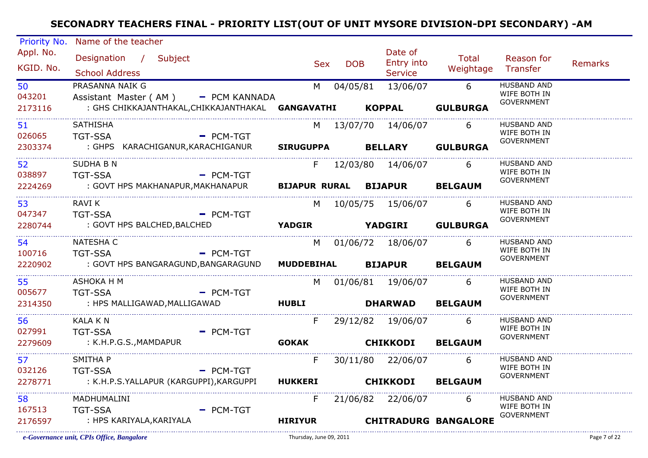| Priority No.            | Name of the teacher                                      |                            |            |                               |                             |                                    |         |
|-------------------------|----------------------------------------------------------|----------------------------|------------|-------------------------------|-----------------------------|------------------------------------|---------|
| Appl. No.               | Designation / Subject                                    |                            |            | Date of                       | Total                       | Reason for                         |         |
| KGID. No.               | <b>School Address</b>                                    | <b>Sex</b>                 | <b>DOB</b> | Entry into<br>Service         | Weightage Transfer          |                                    | Remarks |
|                         | PRASANNA NAIK G                                          |                            |            |                               | $6\overline{6}$             | <b>HUSBAND AND</b>                 |         |
| 50<br>043201            | Assistant Master (AM) - PCM KANNADA                      |                            |            | M 04/05/81 13/06/07           |                             | WIFE BOTH IN                       |         |
| 2173116                 | : GHS CHIKKAJANTHAKAL, CHIKKAJANTHAKAL GANGAVATHI KOPPAL |                            |            |                               | <b>GULBURGA</b>             | <b>GOVERNMENT</b>                  |         |
|                         |                                                          |                            |            |                               |                             |                                    |         |
| 51                      | <b>SATHISHA</b>                                          |                            |            | M 13/07/70 14/06/07           | 6                           | <b>HUSBAND AND</b><br>WIFE BOTH IN |         |
| 026065                  | <b>TGT-SSA</b><br>$PCM-TGT$                              |                            |            |                               |                             | <b>GOVERNMENT</b>                  |         |
| 2303374                 | : GHPS KARACHIGANUR,KARACHIGANUR                         | SIRUGUPPA BELLARY GULBURGA |            |                               |                             |                                    |         |
| 52 <sub>2</sub>         | <b>SUDHA B N</b>                                         | F                          |            | 12/03/80 14/06/07 6           |                             | <b>HUSBAND AND</b>                 |         |
| 038897                  | <b>TGT-SSA</b><br><b>Example 2 PCM-TGT</b>               |                            |            |                               |                             | WIFE BOTH IN<br><b>GOVERNMENT</b>  |         |
| 2224269                 | : GOVT HPS MAKHANAPUR,MAKHANAPUR                         |                            |            | BIJAPUR RURAL BIJAPUR BELGAUM |                             |                                    |         |
| 53                      | <b>RAVI K</b>                                            |                            |            | M 10/05/75 15/06/07 6         |                             | <b>HUSBAND AND</b>                 |         |
| 047347                  | <b>TGT-SSA</b><br>$-$ PCM-TGT                            |                            |            |                               |                             | WIFE BOTH IN<br>GOVERNMENT         |         |
| 2280744                 | : GOVT HPS BALCHED, BALCHED                              |                            |            | YADGIR YADGIRI GULBURGA       |                             |                                    |         |
| 54                      | NATESHA C                                                |                            |            | M 01/06/72 18/06/07 6         |                             | <b>HUSBAND AND</b>                 |         |
| 100716                  | <b>TGT-SSA</b><br>$=$ PCM-TGT                            |                            |            |                               |                             | WIFE BOTH IN                       |         |
| 2220902                 | : GOVT HPS BANGARAGUND,BANGARAGUND                       |                            |            | MUDDEBIHAL BIJAPUR BELGAUM    |                             | GOVERNMENT                         |         |
| _________________<br>55 | ASHOKA H M                                               |                            |            | M 01/06/81 19/06/07           | 6                           | HUSBAND AND                        |         |
| 005677                  | <b>TGT-SSA</b><br><b>Example 2</b> PCM-TGT               |                            |            |                               |                             | WIFE BOTH IN                       |         |
| 2314350                 | : HPS MALLIGAWAD,MALLIGAWAD                              | <b>HUBLI</b>               |            | DHARWAD BELGAUM               |                             | <b>GOVERNMENT</b>                  |         |
| 56                      | <b>KALA KN</b>                                           | F                          |            | 29/12/82 19/06/07 6           |                             | <b>HUSBAND AND</b>                 |         |
| 027991                  | $-$ PCM-TGT<br><b>TGT-SSA</b>                            |                            |            |                               |                             | WIFE BOTH IN                       |         |
| 2279609                 | : K.H.P.G.S.,MAMDAPUR                                    | <b>GOKAK</b>               |            | <b>CHIKKODI</b>               | <b>BELGAUM</b>              | <b>GOVERNMENT</b>                  |         |
| 57                      | SMITHA P                                                 | F                          |            | 30/11/80 22/06/07             | 6                           | <b>HUSBAND AND</b>                 |         |
| 032126                  | <b>TGT-SSA</b><br>$=$ PCM-TGT                            |                            |            |                               |                             | WIFE BOTH IN                       |         |
| 2278771                 | : K.H.P.S.YALLAPUR (KARGUPPI),KARGUPPI                   | <b>HUKKERI</b>             |            | <b>CHIKKODI BELGAUM</b>       |                             | <b>GOVERNMENT</b>                  |         |
| 58                      | MADHUMALINI                                              | F                          |            | 21/06/82 22/06/07             | 6                           | <b>HUSBAND AND</b>                 |         |
| 167513                  | <b>TGT-SSA</b><br>$=$ PCM-TGT                            |                            |            |                               |                             | WIFE BOTH IN                       |         |
| 2176597                 | : HPS KARIYALA,KARIYALA                                  | <b>HIRIYUR</b>             |            |                               | <b>CHITRADURG BANGALORE</b> | <b>GOVERNMENT</b>                  |         |
|                         |                                                          |                            |            |                               |                             |                                    |         |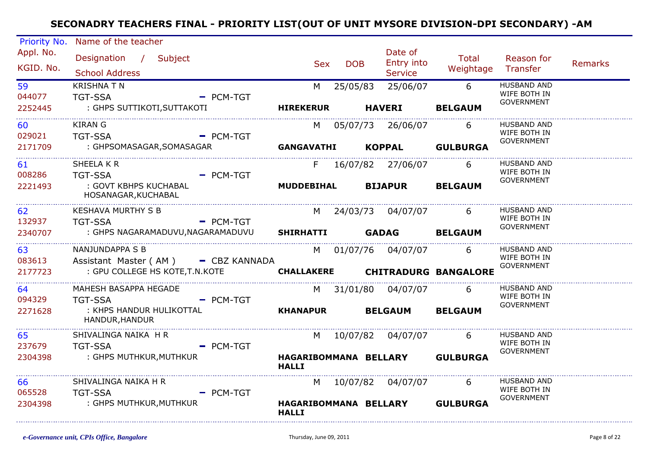| Priority No.           | Name of the teacher                          |                                       |                     |                       |                                |                                    |                |
|------------------------|----------------------------------------------|---------------------------------------|---------------------|-----------------------|--------------------------------|------------------------------------|----------------|
| Appl. No.<br>KGID. No. | Designation / Subject                        | <b>Sex</b>                            | <b>DOB</b>          | Date of<br>Entry into | Total<br>Weightage Transfer    | Reason for                         | <b>Remarks</b> |
|                        | <b>School Address</b>                        |                                       |                     | Service               |                                |                                    |                |
| 59<br>044077           | <b>KRISHNA T N</b><br><b>TGT-SSA</b>         | $=$ PCM-TGT                           | M 25/05/83          | 25/06/07              | $6\overline{6}$                | HUSBAND AND<br>WIFE BOTH IN        |                |
| 2252445                | : GHPS SUTTIKOTI,SUTTAKOTI                   | <b>HIREKERUR</b>                      |                     | <b>HAVERI</b>         | <b>BELGAUM</b>                 | <b>GOVERNMENT</b>                  |                |
| 60                     | <b>KIRAN G</b>                               |                                       | M 05/07/73 26/06/07 |                       | 6                              | HUSBAND AND<br>WIFE BOTH IN        |                |
| 029021                 | <b>TGT-SSA</b>                               | $-$ PCM-TGT                           |                     |                       |                                | <b>GOVERNMENT</b>                  |                |
| 2171709                | : GHPSOMASAGAR,SOMASAGAR                     | GANGAVATHI KOPPAL GULBURGA            |                     |                       |                                |                                    |                |
| 61                     | SHEELA K R                                   | F                                     | 16/07/82 27/06/07   |                       | 6                              | <b>HUSBAND AND</b><br>WIFE BOTH IN |                |
| 008286                 | <b>TGT-SSA</b>                               | $-$ PCM-TGT                           |                     |                       |                                | <b>GOVERNMENT</b>                  |                |
| 2221493<br>.           | : GOVT KBHPS KUCHABAL<br>HOSANAGAR, KUCHABAL | <b>MUDDEBIHAL</b>                     |                     | <b>BIJAPUR</b>        | <b>BELGAUM</b>                 |                                    |                |
| 62                     | KESHAVA MURTHY S B                           |                                       | M 24/03/73 04/07/07 |                       | 6                              | <b>HUSBAND AND</b><br>WIFE BOTH IN |                |
| 132937                 | <b>Example 2 PCM-TGT</b><br><b>TGT-SSA</b>   |                                       |                     |                       |                                | <b>GOVERNMENT</b>                  |                |
| 2340707                | : GHPS NAGARAMADUVU,NAGARAMADUVU             | <b>SHIRHATTI</b>                      |                     | <b>GADAG</b>          | <b>BELGAUM</b>                 |                                    |                |
| 63                     | NANJUNDAPPA S B                              |                                       | M 01/07/76 04/07/07 |                       | -6                             | <b>HUSBAND AND</b><br>WIFE BOTH IN |                |
| 083613                 | Assistant Master (AM) - CBZ KANNADA          |                                       |                     |                       |                                | <b>GOVERNMENT</b>                  |                |
| 2177723                | : GPU COLLEGE HS KOTE, T.N.KOTE              | CHALLAKERE CHITRADURG BANGALORE       |                     |                       |                                |                                    |                |
| 64                     | MAHESH BASAPPA HEGADE                        |                                       | M 31/01/80 04/07/07 |                       | 6                              | <b>HUSBAND AND</b><br>WIFE BOTH IN |                |
| 094329                 | <b>TGT-SSA</b>                               | $-$ PCM-TGT                           |                     |                       |                                | <b>GOVERNMENT</b>                  |                |
| 2271628                | : KHPS HANDUR HULIKOTTAL<br>HANDUR, HANDUR   | <b>KHANAPUR BELGAUM</b>               |                     |                       | <b>BELGAUM</b>                 |                                    |                |
| 65                     | SHIVALINGA NAIKA H R                         | M                                     |                     | 10/07/82 04/07/07     | $6\overline{6}$                | <b>HUSBAND AND</b>                 |                |
| 237679                 | <b>TGT-SSA</b>                               | $=$ PCM-TGT                           |                     |                       |                                | WIFE BOTH IN<br><b>GOVERNMENT</b>  |                |
| 2304398                | : GHPS MUTHKUR,MUTHKUR                       | <b>HALLI</b>                          |                     |                       | HAGARIBOMMANA BELLARY GULBURGA |                                    |                |
| 66                     | SHIVALINGA NAIKA H R                         |                                       | M 10/07/82 04/07/07 |                       | 6                              | <b>HUSBAND AND</b>                 |                |
| 065528                 | <b>TGT-SSA</b>                               | $=$ PCM-TGT                           |                     |                       |                                | WIFE BOTH IN<br><b>GOVERNMENT</b>  |                |
| 2304398                | : GHPS MUTHKUR,MUTHKUR                       | HAGARIBOMMANA BELLARY<br><b>HALLI</b> |                     |                       | <b>GULBURGA</b>                |                                    |                |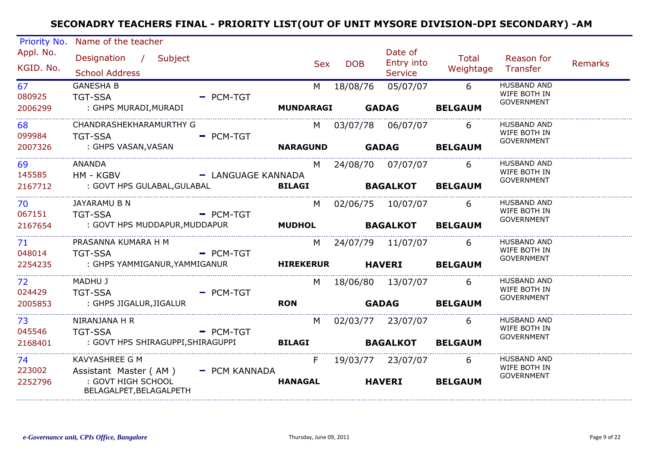| Priority No.           | Name of the teacher                                          |                    |                  |              |                                  |                    |                                                         |                |
|------------------------|--------------------------------------------------------------|--------------------|------------------|--------------|----------------------------------|--------------------|---------------------------------------------------------|----------------|
| Appl. No.<br>KGID. No. | Designation / Subject<br><b>School Address</b>               |                    | <b>Sex</b>       | <b>DOB</b>   | Date of<br>Entry into<br>Service | Total<br>Weightage | Reason for<br>Transfer                                  | <b>Remarks</b> |
| 67<br>080925           | <b>GANESHA B</b><br><b>TGT-SSA</b>                           | $=$ PCM-TGT        | M                | 18/08/76     | 05/07/07                         | $6\overline{6}$    | <b>HUSBAND AND</b><br>WIFE BOTH IN<br><b>GOVERNMENT</b> |                |
| 2006299                | : GHPS MURADI, MURADI                                        |                    | <b>MUNDARAGI</b> | <b>GADAG</b> |                                  | <b>BELGAUM</b>     |                                                         |                |
| 68<br>099984           | CHANDRASHEKHARAMURTHY G<br><b>TGT-SSA</b>                    | $-$ PCM-TGT        | M                |              | 03/07/78 06/07/07                | 6                  | <b>HUSBAND AND</b><br>WIFE BOTH IN<br><b>GOVERNMENT</b> |                |
| 2007326                | : GHPS VASAN,VASAN                                           |                    | <b>NARAGUND</b>  | <b>GADAG</b> |                                  | <b>BELGAUM</b>     |                                                         |                |
| 69<br>145585           | <b>ANANDA</b><br>HM - KGBV                                   | - LANGUAGE KANNADA | M                |              | 24/08/70 07/07/07                | 6                  | <b>HUSBAND AND</b><br>WIFE BOTH IN<br><b>GOVERNMENT</b> |                |
| 2167712                | : GOVT HPS GULABAL,GULABAL                                   |                    | <b>BILAGI</b>    |              | <b>BAGALKOT</b>                  | <b>BELGAUM</b>     |                                                         |                |
| 70<br>067151           | JAYARAMU B N<br><b>TGT-SSA</b>                               | $-$ PCM-TGT        | M                |              | 02/06/75 10/07/07                | 6                  | <b>HUSBAND AND</b><br>WIFE BOTH IN                      |                |
| 2167654                | : GOVT HPS MUDDAPUR,MUDDAPUR                                 |                    | <b>MUDHOL</b>    |              | <b>BAGALKOT</b>                  | <b>BELGAUM</b>     | <b>GOVERNMENT</b>                                       |                |
| 71<br>048014           | PRASANNA KUMARA H M<br><b>TGT-SSA</b>                        | - PCM-TGT          | M                |              | 24/07/79 11/07/07                | 6                  | <b>HUSBAND AND</b><br>WIFE BOTH IN                      |                |
| 2254235                | : GHPS YAMMIGANUR,YAMMIGANUR                                 |                    |                  |              | <b>HIREKERUR</b> HAVERI          | <b>BELGAUM</b>     | <b>GOVERNMENT</b>                                       |                |
| 72<br>024429           | MADHU J<br><b>TGT-SSA</b>                                    | $=$ PCM-TGT        |                  |              | M 18/06/80 13/07/07              | 6                  | <b>HUSBAND AND</b><br>WIFE BOTH IN                      |                |
| 2005853                | : GHPS JIGALUR,JIGALUR                                       |                    | <b>RON</b>       |              | <b>GADAG</b>                     | <b>BELGAUM</b>     | <b>GOVERNMENT</b>                                       |                |
| 73<br>045546           | NIRANJANA H R<br><b>TGT-SSA</b>                              | $-$ PCM-TGT        | M                |              | 02/03/77 23/07/07                | 6                  | <b>HUSBAND AND</b><br>WIFE BOTH IN                      |                |
| 2168401                | : GOVT HPS SHIRAGUPPI,SHIRAGUPPI                             |                    | <b>BILAGI</b>    |              | <b>BAGALKOT</b>                  | <b>BELGAUM</b>     | <b>GOVERNMENT</b>                                       |                |
| 74<br>223002           | <b>KAVYASHREE G M</b><br>Assistant Master (AM) - PCM KANNADA |                    |                  |              | F 19/03/77 23/07/07              | 6                  | <b>HUSBAND AND</b><br>WIFE BOTH IN                      |                |
| 2252796                | : GOVT HIGH SCHOOL<br>BELAGALPET, BELAGALPETH                |                    | <b>HANAGAL</b>   |              | <b>HAVERI</b>                    | <b>BELGAUM</b>     | <b>GOVERNMENT</b>                                       |                |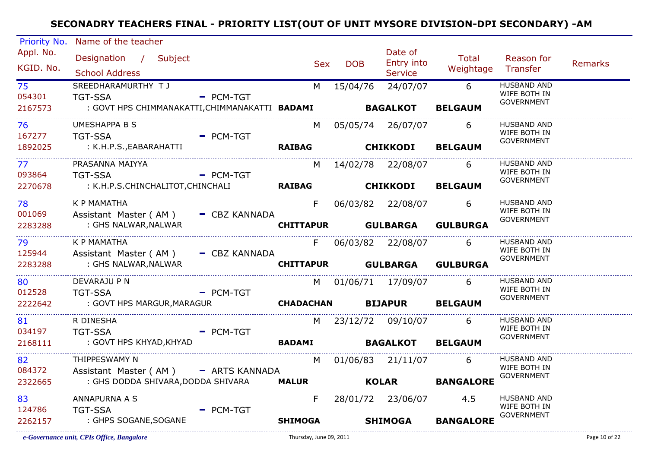| Priority No. | Name of the teacher                                                    |             |                           |            |                       |                             |                                    |                |
|--------------|------------------------------------------------------------------------|-------------|---------------------------|------------|-----------------------|-----------------------------|------------------------------------|----------------|
| Appl. No.    | Designation / Subject                                                  |             | <b>Sex</b>                | <b>DOB</b> | Date of<br>Entry into | Total                       | Reason for                         | <b>Remarks</b> |
| KGID. No.    | <b>School Address</b>                                                  |             |                           |            | <b>Service</b>        | Weightage Transfer          |                                    |                |
| 75           | SREEDHARAMURTHY TJ                                                     |             |                           |            | M 15/04/76 24/07/07   | $6\overline{6}$             | <b>HUSBAND AND</b>                 |                |
| 054301       | <b>TGT-SSA</b>                                                         | $=$ PCM-TGT |                           |            |                       |                             | WIFE BOTH IN<br><b>GOVERNMENT</b>  |                |
| 2167573      | : GOVT HPS CHIMMANAKATTI,CHIMMANAKATTI BADAMI                 BAGALKOT |             |                           |            |                       | <b>BELGAUM</b>              |                                    |                |
| 76           | <b>UMESHAPPA B S</b>                                                   |             |                           |            | M 05/05/74 26/07/07   | 6                           | <b>HUSBAND AND</b>                 |                |
| 167277       | - PCM-TGT<br><b>TGT-SSA</b>                                            |             |                           |            |                       |                             | WIFE BOTH IN<br><b>GOVERNMENT</b>  |                |
| 1892025      | : K.H.P.S.,EABARAHATTI                                                 |             | RAIBAG CHIKKODI BELGAUM   |            |                       |                             |                                    |                |
| 77           | PRASANNA MAIYYA                                                        |             |                           |            | M 14/02/78 22/08/07 6 |                             | <b>HUSBAND AND</b><br>WIFE BOTH IN |                |
| 093864       | - PCM-TGT<br><b>TGT-SSA</b>                                            |             |                           |            |                       |                             | <b>GOVERNMENT</b>                  |                |
| 2270678      | : K.H.P.S.CHINCHALITOT,CHINCHALI                                       |             | RAIBAG CHIKKODI BELGAUM   |            |                       |                             |                                    |                |
| 78           | <b>K P MAMATHA</b>                                                     |             |                           |            | F 06/03/82 22/08/07 6 |                             | <b>HUSBAND AND</b>                 |                |
| 001069       | Assistant Master (AM) - CBZ KANNADA                                    |             |                           |            |                       |                             | WIFE BOTH IN<br>GOVERNMENT         |                |
| 2283288      | : GHS NALWAR, NALWAR                                                   |             |                           |            |                       | CHITTAPUR GULBARGA GULBURGA |                                    |                |
| 79           | K P MAMATHA                                                            |             |                           |            | F 06/03/82 22/08/07 6 |                             | <b>HUSBAND AND</b>                 |                |
| 125944       | Assistant Master (AM) - CBZ KANNADA                                    |             |                           |            |                       |                             | WIFE BOTH IN<br><b>GOVERNMENT</b>  |                |
| 2283288      | : GHS NALWAR,NALWAR                                                    |             |                           |            |                       | CHITTAPUR GULBARGA GULBURGA |                                    |                |
| 80           | DEVARAJU P N                                                           |             |                           |            | M 01/06/71 17/09/07 6 |                             | <b>HUSBAND AND</b>                 |                |
| 012528       | <b>TGT-SSA</b><br><b>Example 2</b> PCM-TGT                             |             |                           |            |                       |                             | WIFE BOTH IN<br><b>GOVERNMENT</b>  |                |
| 2222642      | : GOVT HPS MARGUR,MARAGUR                                              |             | CHADACHAN BIJAPUR BELGAUM |            |                       |                             |                                    |                |
| 81           | R DINESHA                                                              |             |                           |            | M 23/12/72 09/10/07 6 |                             | <b>HUSBAND AND</b>                 |                |
| 034197       | <b>Example 2 PCM-TGT</b><br><b>TGT-SSA</b>                             |             |                           |            |                       |                             | WIFE BOTH IN<br><b>GOVERNMENT</b>  |                |
| 2168111      | : GOVT HPS KHYAD,KHYAD                                                 |             | BADAMI BAGALKOT BELGAUM   |            |                       |                             |                                    |                |
| 82           | THIPPESWAMY N                                                          |             |                           |            | M 01/06/83 21/11/07 6 |                             | <b>HUSBAND AND</b>                 |                |
| 084372       | Assistant Master (AM) - ARTS KANNADA                                   |             |                           |            |                       |                             | WIFE BOTH IN<br><b>GOVERNMENT</b>  |                |
| 2322665      | : GHS DODDA SHIVARA, DODDA SHIVARA                                     |             |                           |            |                       | MALUR KOLAR BANGALORE       |                                    |                |
| 83           | ANNAPURNA A S                                                          |             | F                         |            | 28/01/72 23/06/07     | 4.5                         | <b>HUSBAND AND</b>                 |                |
| 124786       | <b>TGT-SSA</b>                                                         | $-$ PCM-TGT |                           |            |                       |                             | WIFE BOTH IN<br><b>GOVERNMENT</b>  |                |
| 2262157      | : GHPS SOGANE,SOGANE                                                   |             | <b>SHIMOGA</b>            |            | <b>SHIMOGA</b>        | <b>BANGALORE</b>            |                                    |                |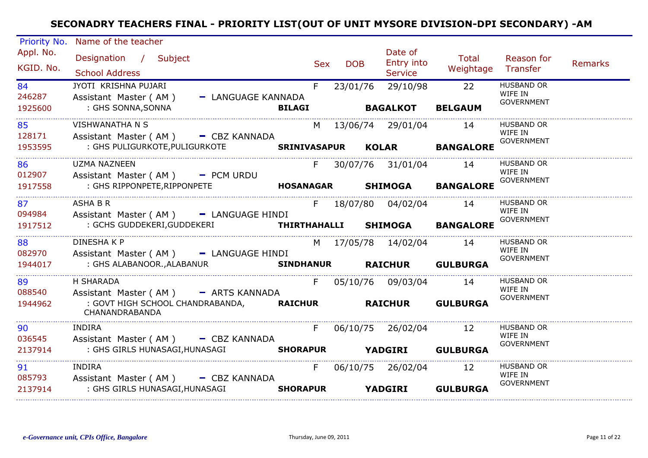| Priority No.           | Name of the teacher                                                                                |                          |                                |                                         |                    |                                                   |                |
|------------------------|----------------------------------------------------------------------------------------------------|--------------------------|--------------------------------|-----------------------------------------|--------------------|---------------------------------------------------|----------------|
| Appl. No.<br>KGID. No. | Designation / Subject<br><b>School Address</b>                                                     | <b>Sex</b>               | <b>DOB</b>                     | Date of<br>Entry into<br><b>Service</b> | Total<br>Weightage | Reason for<br>Transfer                            | <b>Remarks</b> |
| 84<br>246287           | JYOTI KRISHNA PUJARI<br>Assistant Master (AM)                                                      | F.<br>- LANGUAGE KANNADA | 23/01/76 29/10/98              |                                         | 22                 | <b>HUSBAND OR</b><br>WIFE IN<br><b>GOVERNMENT</b> |                |
| 1925600                | : GHS SONNA, SONNA                                                                                 | <b>BILAGI</b>            |                                | <b>BAGALKOT</b>                         | <b>BELGAUM</b>     |                                                   |                |
| 85<br>128171           | <b>VISHWANATHA N S</b><br>Assistant Master (AM) - CBZ KANNADA                                      |                          | M 13/06/74 29/01/04            |                                         | 14                 | <b>HUSBAND OR</b><br>WIFE IN                      |                |
| 1953595                |                                                                                                    |                          |                                |                                         | <b>BANGALORE</b>   | <b>GOVERNMENT</b>                                 |                |
| 86<br>012907           | <b>UZMA NAZNEEN</b><br>Assistant Master (AM) - PCM URDU                                            | F.                       | 30/07/76 31/01/04 14           |                                         |                    | <b>HUSBAND OR</b><br>WIFE IN<br><b>GOVERNMENT</b> |                |
| 1917558                | : GHS RIPPONPETE, RIPPONPETE <b>The SANAGAR SHIMOGA BANGALORE</b>                                  |                          |                                |                                         |                    |                                                   |                |
| 87<br>094984           | ASHA B R<br>Assistant Master (AM) - LANGUAGE HINDI                                                 | F                        | 18/07/80  04/02/04             |                                         | 14                 | <b>HUSBAND OR</b><br>WIFE IN                      |                |
| 1917512                | : GCHS GUDDEKERI,GUDDEKERI                                                                         |                          | THIRTHAHALLI SHIMOGA BANGALORE |                                         |                    | <b>GOVERNMENT</b>                                 |                |
| 88                     | <b>DINESHAKP</b>                                                                                   |                          | M 17/05/78 14/02/04            |                                         | 14                 | <b>HUSBAND OR</b>                                 |                |
| 082970<br>1944017      | Assistant Master (AM) - LANGUAGE HINDI<br>: GHS ALABANOOR.,ALABANUR                                |                          | SINDHANUR RAICHUR GULBURGA     |                                         |                    | WIFE IN<br><b>GOVERNMENT</b>                      |                |
| 89<br>088540           | H SHARADA                                                                                          |                          | F 05/10/76 09/03/04            |                                         | 14                 | HUSBAND OR<br>WIFE IN                             |                |
| 1944962                | Assistant Master (AM) - ARTS KANNADA<br>: GOVT HIGH SCHOOL CHANDRABANDA, RAICHUR<br>CHANANDRABANDA |                          | <b>RAICHUR</b>                 |                                         | <b>GULBURGA</b>    | <b>GOVERNMENT</b>                                 |                |
| 90                     | INDIRA                                                                                             | F                        | 06/10/75 26/02/04              |                                         | 12                 | HUSBAND OR<br>WIFE IN                             |                |
| 036545<br>2137914      | Assistant Master (AM) - CBZ KANNADA<br>: GHS GIRLS HUNASAGI,HUNASAGI                               |                          | SHORAPUR YADGIRI GULBURGA      |                                         |                    | <b>GOVERNMENT</b>                                 |                |
| 91                     | <b>INDIRA</b>                                                                                      | F                        | 06/10/75 26/02/04              |                                         | 12                 | <b>HUSBAND OR</b><br>WIFE IN                      |                |
| 085793<br>2137914      | Assistant Master (AM) - CBZ KANNADA<br>: GHS GIRLS HUNASAGI,HUNASAGI                               | <b>SHORAPUR</b>          | <b>YADGIRI</b>                 |                                         | <b>GULBURGA</b>    | <b>GOVERNMENT</b>                                 |                |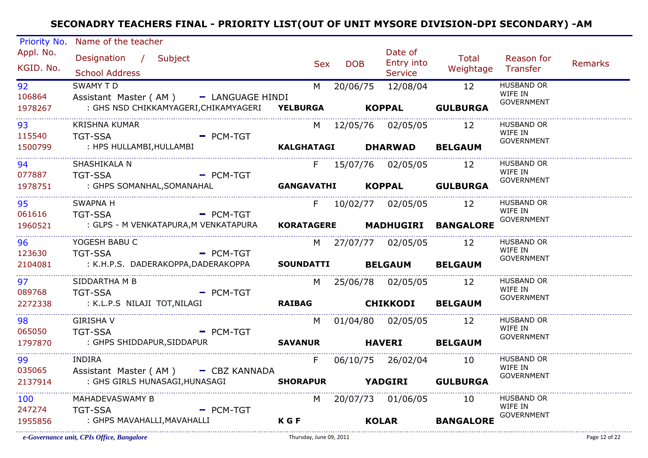| Priority No. | Name of the teacher                                   |             |                   |            |            |                            |                                |                              |                |
|--------------|-------------------------------------------------------|-------------|-------------------|------------|------------|----------------------------|--------------------------------|------------------------------|----------------|
| Appl. No.    | Designation / Subject                                 |             |                   |            |            | Date of                    | Total                          | Reason for                   |                |
| KGID. No.    |                                                       |             |                   | <b>Sex</b> | <b>DOB</b> | Entry into                 | Weightage Transfer             |                              | <b>Remarks</b> |
|              | <b>School Address</b>                                 |             |                   |            |            | <b>Service</b>             |                                |                              |                |
| 92           | <b>SWAMY TD</b>                                       |             |                   |            |            | M 20/06/75 12/08/04 12     |                                | <b>HUSBAND OR</b><br>WIFE IN |                |
| 106864       | Assistant Master (AM) - LANGUAGE HINDI                |             |                   |            |            |                            |                                | <b>GOVERNMENT</b>            |                |
| 1978267      | : GHS NSD CHIKKAMYAGERI, CHIKAMYAGERI YELBURGA KOPPAL |             |                   |            |            |                            | <b>GULBURGA</b>                |                              |                |
| 93           | <b>KRISHNA KUMAR</b>                                  |             |                   |            |            | M 12/05/76 02/05/05        | 12                             | <b>HUSBAND OR</b>            |                |
| 115540       | - PCM-TGT<br><b>TGT-SSA</b>                           |             |                   |            |            |                            |                                | WIFE IN<br><b>GOVERNMENT</b> |                |
| 1500799      | : HPS HULLAMBI,HULLAMBI                               |             |                   |            |            | KALGHATAGI DHARWAD BELGAUM |                                |                              |                |
| 94           | SHASHIKALA N                                          |             |                   |            |            | F 15/07/76 02/05/05 12     |                                | <b>HUSBAND OR</b>            |                |
| 077887       | <b>TGT-SSA</b><br><b>Example 2 PCM-TGT</b>            |             |                   |            |            |                            |                                | WIFE IN<br><b>GOVERNMENT</b> |                |
| 1978751      | : GHPS SOMANHAL, SOMANAHAL                            |             | <b>GANGAVATHI</b> |            |            |                            | KOPPAL GULBURGA                |                              |                |
| 95           | <b>SWAPNA H</b>                                       |             |                   |            |            | F 10/02/77 02/05/05 12     |                                | <b>HUSBAND OR</b>            |                |
| 061616       | <b>TGT-SSA</b>                                        | $=$ PCM-TGT |                   |            |            |                            |                                | WIFE IN<br><b>GOVERNMENT</b> |                |
| 1960521      | : GLPS - M VENKATAPURA,M VENKATAPURA                  |             |                   |            |            |                            | KORATAGERE MADHUGIRI BANGALORE |                              |                |
| 96           | YOGESH BABU C                                         |             |                   |            |            | M 27/07/77 02/05/05        | 12                             | <b>HUSBAND OR</b>            |                |
| 123630       | <b>TGT-SSA</b>                                        | $=$ PCM-TGT |                   |            |            |                            |                                | WIFE IN<br><b>GOVERNMENT</b> |                |
| 2104081      | : K.H.P.S. DADERAKOPPA,DADERAKOPPA                    |             |                   |            |            | SOUNDATTI BELGAUM BELGAUM  |                                |                              |                |
| 97           | SIDDARTHA M B                                         |             |                   |            |            | M 25/06/78 02/05/05        | 12                             | HUSBAND OR                   |                |
| 089768       | <b>TGT-SSA</b><br><b>Example 2</b> PCM-TGT            |             |                   |            |            |                            |                                | WIFE IN<br><b>GOVERNMENT</b> |                |
| 2272338      | : K.L.P.S NILAJI TOT,NILAGI                           |             |                   |            |            | RAIBAG CHIKKODI BELGAUM    |                                |                              |                |
| 98           | <b>GIRISHA V</b>                                      |             |                   | M l        |            | 01/04/80 02/05/05          | 12                             | <b>HUSBAND OR</b>            |                |
| 065050       | <b>Example 2</b> PCM-TGT<br><b>TGT-SSA</b>            |             |                   |            |            |                            |                                | WIFE IN<br>GOVERNMENT        |                |
| 1797870      | : GHPS SHIDDAPUR,SIDDAPUR                             |             | <b>SAVANUR</b>    |            |            | <b>HAVERI</b>              | <b>BELGAUM</b>                 |                              |                |
| 99           | <b>INDIRA</b>                                         |             |                   | F.         |            | 06/10/75 26/02/04          | - 10                           | <b>HUSBAND OR</b>            |                |
| 035065       | Assistant Master (AM) - CBZ KANNADA                   |             |                   |            |            |                            |                                | WIFE IN<br><b>GOVERNMENT</b> |                |
| 2137914      | : GHS GIRLS HUNASAGI, HUNASAGI                        |             |                   |            |            |                            | SHORAPUR YADGIRI GULBURGA      |                              |                |
| 100          | MAHADEVASWAMY B                                       |             |                   |            |            | M 20/07/73 01/06/05        | 10                             | <b>HUSBAND OR</b>            |                |
| 247274       | <b>TGT-SSA</b>                                        | $=$ PCM-TGT |                   |            |            |                            |                                | WIFE IN<br><b>GOVERNMENT</b> |                |
| 1955856      | : GHPS MAVAHALLI,MAVAHALLI                            |             | <b>KGF</b>        |            |            | <b>KOLAR</b>               | <b>BANGALORE</b>               |                              |                |
|              |                                                       |             |                   |            |            |                            |                                |                              |                |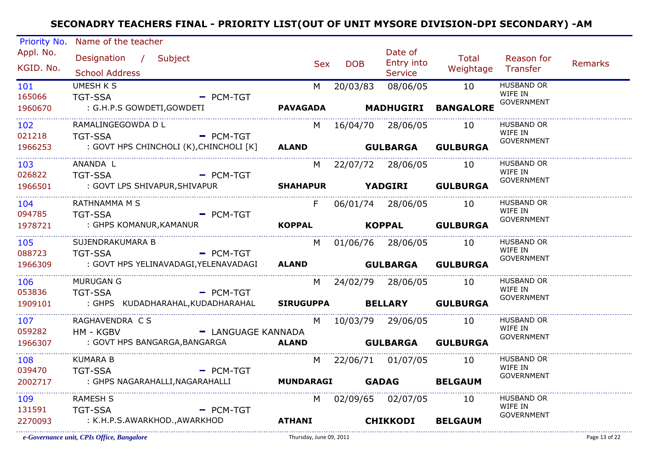| Priority No. | Name of the teacher                                         |                         |            |                              |                              |                              |                |
|--------------|-------------------------------------------------------------|-------------------------|------------|------------------------------|------------------------------|------------------------------|----------------|
| Appl. No.    | Designation / Subject                                       |                         |            | Date of                      | Total                        | Reason for                   |                |
| KGID. No.    | <b>School Address</b>                                       | <b>Sex</b>              | <b>DOB</b> | Entry into<br><b>Service</b> | Weightage Transfer           |                              | <b>Remarks</b> |
| 101          | <b>UMESH K S</b>                                            | M                       | 20/03/83   | 08/06/05                     | 10                           | <b>HUSBAND OR</b>            |                |
| 165066       | <b>TGT-SSA</b><br>$-$ PCM-TGT                               |                         |            |                              |                              | WIFE IN<br><b>GOVERNMENT</b> |                |
| 1960670      | : G.H.P.S GOWDETI, GOWDETI                                  |                         |            |                              | PAVAGADA MADHUGIRI BANGALORE |                              |                |
| 102          | RAMALINGEGOWDA D L                                          | M                       |            | 16/04/70 28/06/05            | 10                           | <b>HUSBAND OR</b>            |                |
| 021218       | <b>TGT-SSA</b><br>$-$ PCM-TGT                               |                         |            |                              |                              | WIFE IN<br><b>GOVERNMENT</b> |                |
| 1966253      | : GOVT HPS CHINCHOLI (K),CHINCHOLI [K]                      | ALAND GULBARGA GULBURGA |            |                              |                              |                              |                |
| 103          | ANANDA L                                                    | M                       |            | 22/07/72 28/06/05            | 10                           | <b>HUSBAND OR</b>            |                |
| 026822       | <b>TGT-SSA</b><br>$\overline{P}$ PCM-TGT                    |                         |            |                              |                              | WIFE IN<br><b>GOVERNMENT</b> |                |
| 1966501      | : GOVT LPS SHIVAPUR,SHIVAPUR                                | <b>SHAHAPUR</b>         |            |                              | <b>YADGIRI GULBURGA</b>      |                              |                |
| 104          | RATHNAMMA M S                                               | F                       |            | 06/01/74 28/06/05 10         |                              | <b>HUSBAND OR</b>            |                |
| 094785       | <b>TGT-SSA</b><br>$=$ PCM-TGT                               |                         |            |                              |                              | WIFE IN<br><b>GOVERNMENT</b> |                |
| 1978721      | : GHPS KOMANUR, KAMANUR                                     | <b>KOPPAL</b>           |            |                              | KOPPAL GULBURGA              |                              |                |
| 105          | SUJENDRAKUMARA B                                            |                         |            | M 01/06/76 28/06/05          | 10                           | <b>HUSBAND OR</b><br>WIFE IN |                |
| 088723       | <b>TGT-SSA</b><br>$-$ PCM-TGT                               |                         |            |                              |                              | <b>GOVERNMENT</b>            |                |
| 1966309      | : GOVT HPS YELINAVADAGI,YELENAVADAGI                        |                         |            |                              | ALAND GULBARGA GULBURGA      |                              |                |
| 106          | <b>MURUGAN G</b>                                            | M                       |            | 24/02/79 28/06/05            | -10-                         | <b>HUSBAND OR</b><br>WIFE IN |                |
| 053836       | <b>TGT-SSA</b><br>$-$ PCM-TGT                               |                         |            |                              |                              | <b>GOVERNMENT</b>            |                |
| 1909101      | : GHPS KUDADHARAHAL,KUDADHARAHAL SIRUGUPPA BELLARY GULBURGA |                         |            |                              |                              |                              |                |
| 107          | RAGHAVENDRA C S                                             | M                       |            | 10/03/79 29/06/05            | 10                           | <b>HUSBAND OR</b><br>WIFE IN |                |
| 059282       | - LANGUAGE KANNADA<br>HM - KGBV                             |                         |            |                              |                              | <b>GOVERNMENT</b>            |                |
| 1966307      | : GOVT HPS BANGARGA, BANGARGA <b>ALAND</b>                  |                         |            |                              | <b>GULBARGA GULBURGA</b>     |                              |                |
| 108          | <b>KUMARA B</b>                                             |                         |            | M 22/06/71 01/07/05 10       |                              | <b>HUSBAND OR</b>            |                |
| 039470       | $-$ PCM-TGT<br><b>TGT-SSA</b>                               |                         |            |                              |                              | WIFE IN<br><b>GOVERNMENT</b> |                |
| 2002717      | : GHPS NAGARAHALLI,NAGARAHALLI                              | MUNDARAGI GADAG         |            |                              | <b>BELGAUM</b>               |                              |                |
| 109          | <b>RAMESH S</b>                                             |                         |            | M 02/09/65 02/07/05          | 10                           | <b>HUSBAND OR</b><br>WIFE IN |                |
| 131591       | <b>TGT-SSA</b><br>$=$ PCM-TGT                               |                         |            |                              |                              | <b>GOVERNMENT</b>            |                |
| 2270093      | : K.H.P.S.AWARKHOD.,AWARKHOD                                | <b>ATHANI</b>           |            | <b>CHIKKODI</b>              | <b>BELGAUM</b>               |                              |                |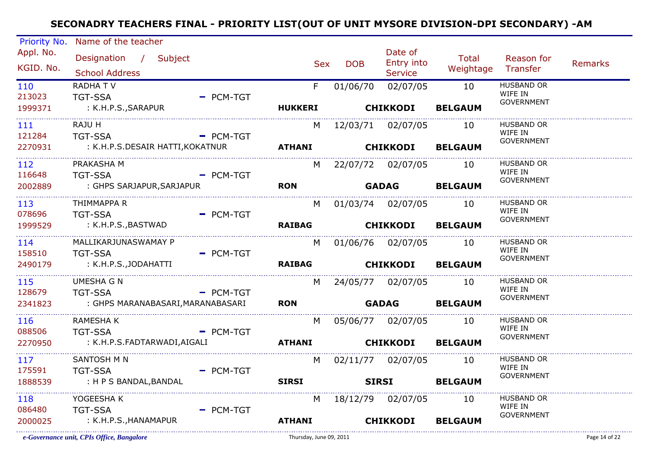| Priority No.                   | Name of the teacher                            |             |                 |              |                                         |                             |                              |                |
|--------------------------------|------------------------------------------------|-------------|-----------------|--------------|-----------------------------------------|-----------------------------|------------------------------|----------------|
| Appl. No.<br>KGID. No.         | Designation / Subject<br><b>School Address</b> |             | <b>Sex</b>      | <b>DOB</b>   | Date of<br>Entry into<br><b>Service</b> | Total<br>Weightage Transfer | Reason for                   | <b>Remarks</b> |
| 110                            | RADHA TV                                       |             | F               | 01/06/70     | 02/07/05                                | 10                          | <b>HUSBAND OR</b><br>WIFE IN |                |
| 213023                         | <b>TGT-SSA</b>                                 | $=$ PCM-TGT |                 |              |                                         |                             | <b>GOVERNMENT</b>            |                |
| 1999371                        | : K.H.P.S.,SARAPUR                             |             | <b>HUKKERI</b>  |              | <b>CHIKKODI</b>                         | <b>BELGAUM</b>              |                              |                |
| 111                            | RAJU H                                         |             | M               |              | 12/03/71 02/07/05                       | 10                          | <b>HUSBAND OR</b>            |                |
| 121284                         | <b>TGT-SSA</b>                                 | $PCM-TGT$   |                 |              |                                         |                             | WIFE IN<br><b>GOVERNMENT</b> |                |
| 2270931                        | : K.H.P.S.DESAIR HATTI,KOKATNUR                |             | ATHANI CHIKKODI |              |                                         | <b>BELGAUM</b>              |                              |                |
| _______________________<br>112 | PRAKASHA M                                     |             | M               |              | 22/07/72 02/07/05                       | 10                          | HUSBAND OR                   |                |
| 116648                         | <b>TGT-SSA</b>                                 | $=$ PCM-TGT |                 |              |                                         |                             | WIFE IN<br><b>GOVERNMENT</b> |                |
| 2002889                        | : GHPS SARJAPUR,SARJAPUR                       |             | <b>RON</b>      | <b>GADAG</b> |                                         | <b>BELGAUM</b>              |                              |                |
| 113                            | THIMMAPPA R                                    |             | M l             |              |                                         | 10                          | HUSBAND OR                   |                |
| 078696                         | <b>TGT-SSA</b>                                 | $=$ PCM-TGT |                 |              |                                         |                             | WIFE IN                      |                |
| 1999529                        | : K.H.P.S.,BASTWAD                             |             | <b>RAIBAG</b>   |              | <b>CHIKKODI</b>                         | <b>BELGAUM</b>              | <b>GOVERNMENT</b>            |                |
| ----------------------<br>114  | MALLIKARJUNASWAMAY P                           |             |                 |              | M 01/06/76 02/07/05                     | 10                          | <b>HUSBAND OR</b>            |                |
| 158510                         | <b>TGT-SSA</b>                                 | $=$ PCM-TGT |                 |              |                                         |                             | WIFE IN                      |                |
| 2490179                        | : K.H.P.S.,JODAHATTI                           |             | <b>RAIBAG</b>   |              | CHIKKODI BELGAUM                        |                             | <b>GOVERNMENT</b>            |                |
| 115                            | <b>UMESHA G N</b>                              |             |                 |              | M 24/05/77 02/07/05                     | 10                          | <b>HUSBAND OR</b>            |                |
| 128679                         | TGT-SSA                                        | $=$ PCM-TGT |                 |              |                                         |                             | WIFE IN                      |                |
| 2341823                        | : GHPS MARANABASARI,MARANABASARI               |             | <b>RON</b>      | <b>GADAG</b> |                                         | <b>BELGAUM</b>              | <b>GOVERNMENT</b>            |                |
| 116                            | <b>RAMESHAK</b>                                |             | M               |              | 05/06/77 02/07/05                       | 10                          | HUSBAND OR                   |                |
| 088506                         | <b>TGT-SSA</b><br><b>Example 2</b> PCM-TGT     |             |                 |              |                                         |                             | WIFE IN                      |                |
| 2270950                        | : K.H.P.S.FADTARWADI,AIGALI                    |             | ATHANI CHIKKODI |              |                                         | <b>BELGAUM</b>              | <b>GOVERNMENT</b>            |                |
|                                |                                                |             |                 |              |                                         |                             | <b>HUSBAND OR</b>            |                |
| 117<br>175591                  | SANTOSH M N<br><b>TGT-SSA</b>                  | $=$ PCM-TGT | M l             |              | 02/11/77 02/07/05                       | 10                          | WIFE IN                      |                |
| 1888539                        | : H P S BANDAL, BANDAL                         |             | <b>SIRSI</b>    |              | <b>SIRSI</b>                            | <b>BELGAUM</b>              | <b>GOVERNMENT</b>            |                |
|                                |                                                |             |                 |              |                                         |                             |                              |                |
| 118                            | YOGEESHA K                                     |             | M               |              | 18/12/79 02/07/05                       | 10                          | <b>HUSBAND OR</b><br>WIFE IN |                |
| 086480                         | <b>TGT-SSA</b>                                 | $=$ PCM-TGT |                 |              |                                         |                             | <b>GOVERNMENT</b>            |                |
| 2000025                        | : K.H.P.S.,HANAMAPUR                           |             | <b>ATHANI</b>   |              | <b>CHIKKODI</b>                         | <b>BELGAUM</b>              |                              |                |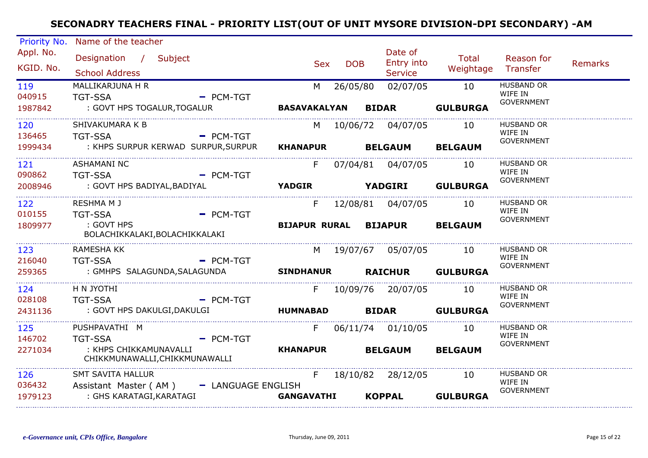| Priority No.           | Name of the teacher                                                  |             |                      |            |                                         |                    |                                                   |                |
|------------------------|----------------------------------------------------------------------|-------------|----------------------|------------|-----------------------------------------|--------------------|---------------------------------------------------|----------------|
| Appl. No.<br>KGID. No. | Designation / Subject<br><b>School Address</b>                       |             | <b>Sex</b>           | <b>DOB</b> | Date of<br>Entry into<br><b>Service</b> | Total<br>Weightage | Reason for<br>Transfer                            | <b>Remarks</b> |
| 119<br>040915          | MALLIKARJUNA H R<br><b>TGT-SSA</b>                                   | $=$ PCM-TGT | M                    | 26/05/80   | 02/07/05                                | 10                 | <b>HUSBAND OR</b><br>WIFE IN<br><b>GOVERNMENT</b> |                |
| 1987842                | : GOVT HPS TOGALUR, TOGALUR                                          |             | <b>BASAVAKALYAN</b>  |            | <b>BIDAR</b>                            | <b>GULBURGA</b>    |                                                   |                |
| 120<br>136465          | SHIVAKUMARA K B<br><b>TGT-SSA</b>                                    | $-$ PCM-TGT | M l                  |            | 10/06/72 04/07/05                       | 10                 | <b>HUSBAND OR</b><br>WIFE IN                      |                |
| 1999434                | : KHPS SURPUR KERWAD SURPUR,SURPUR                                   |             | <b>KHANAPUR</b>      |            | <b>BELGAUM</b>                          | <b>BELGAUM</b>     | <b>GOVERNMENT</b>                                 |                |
| 121<br>090862          | <b>ASHAMANI NC</b><br><b>TGT-SSA</b>                                 | $-$ PCM-TGT | F.                   |            |                                         | 10                 | <b>HUSBAND OR</b><br>WIFE IN                      |                |
| 2008946                | : GOVT HPS BADIYAL, BADIYAL                                          |             | <b>YADGIR</b>        |            | <b>YADGIRI</b>                          | <b>GULBURGA</b>    | <b>GOVERNMENT</b>                                 |                |
| 122<br>010155          | RESHMA M J<br><b>TGT-SSA</b>                                         | $=$ PCM-TGT | F.                   |            | 12/08/81  04/07/05                      | 10                 | <b>HUSBAND OR</b><br>WIFE IN<br><b>GOVERNMENT</b> |                |
| 1809977                | : GOVT HPS<br>BOLACHIKKALAKI, BOLACHIKKALAKI                         |             | <b>BIJAPUR RURAL</b> |            | <b>BIJAPUR</b>                          | <b>BELGAUM</b>     |                                                   |                |
| 123<br>216040          | RAMESHA KK<br>TGT-SSA                                                | $-$ PCM-TGT |                      |            | M 19/07/67 05/07/05 10                  |                    | <b>HUSBAND OR</b><br>WIFE IN<br><b>GOVERNMENT</b> |                |
| 259365                 | : GMHPS SALAGUNDA,SALAGUNDA                                          |             | <b>SINDHANUR</b>     |            |                                         | RAICHUR GULBURGA   |                                                   |                |
| 124<br>028108          | H N JYOTHI<br><b>TGT-SSA</b>                                         | $-$ PCM-TGT |                      |            | F 10/09/76 20/07/05                     | 10                 | <b>HUSBAND OR</b><br>WIFE IN<br><b>GOVERNMENT</b> |                |
| 2431136                | : GOVT HPS DAKULGI,DAKULGI                                           |             | <b>HUMNABAD</b>      |            | <b>BIDAR</b>                            | <b>GULBURGA</b>    |                                                   |                |
| 125<br>146702          | PUSHPAVATHI M<br><b>TGT-SSA</b>                                      | $-$ PCM-TGT | F                    |            | 06/11/74 01/10/05                       | 10                 | <b>HUSBAND OR</b><br>WIFE IN<br><b>GOVERNMENT</b> |                |
| 2271034                | : KHPS CHIKKAMUNAVALLI<br>CHIKKMUNAWALLI, CHIKKMUNAWALLI             |             | <b>KHANAPUR</b>      |            | <b>BELGAUM</b>                          | <b>BELGAUM</b>     |                                                   |                |
| 126<br>036432          | <b>SMT SAVITA HALLUR</b><br>Assistant Master (AM) - LANGUAGE ENGLISH |             | F                    |            | 18/10/82 28/12/05                       | 10                 | <b>HUSBAND OR</b><br>WIFE IN                      |                |
| 1979123                | : GHS KARATAGI,KARATAGI                                              |             | <b>GANGAVATHI</b>    |            | <b>KOPPAL</b>                           | <b>GULBURGA</b>    | <b>GOVERNMENT</b>                                 |                |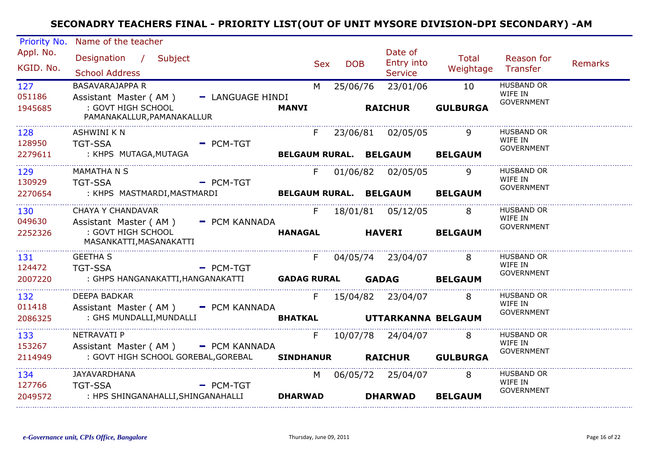| Priority No.               | Name of the teacher                              |                  |                  |            |            |                                         |                                |                              |                |
|----------------------------|--------------------------------------------------|------------------|------------------|------------|------------|-----------------------------------------|--------------------------------|------------------------------|----------------|
| Appl. No.<br>KGID. No.     | Designation / Subject<br><b>School Address</b>   |                  |                  | <b>Sex</b> | <b>DOB</b> | Date of<br>Entry into<br><b>Service</b> | <b>Total</b><br>Weightage      | Reason for<br>Transfer       | <b>Remarks</b> |
| 127                        | <b>BASAVARAJAPPA R</b>                           |                  |                  | M          | 25/06/76   | 23/01/06                                | 10                             | <b>HUSBAND OR</b>            |                |
| 051186                     | Assistant Master (AM)                            | - LANGUAGE HINDI |                  |            |            |                                         |                                | WIFE IN<br><b>GOVERNMENT</b> |                |
| 1945685                    | : GOVT HIGH SCHOOL<br>PAMANAKALLUR, PAMANAKALLUR |                  | <b>MANVI</b>     |            |            | <b>RAICHUR</b>                          | <b>GULBURGA</b>                |                              |                |
| 128                        | <b>ASHWINI K N</b>                               |                  |                  | F.         |            | 23/06/81 02/05/05                       |                                | <b>HUSBAND OR</b>            |                |
| 128950                     | <b>TGT-SSA</b>                                   | $-$ PCM-TGT      |                  |            |            |                                         |                                | WIFE IN<br><b>GOVERNMENT</b> |                |
| 2279611                    | : KHPS MUTAGA,MUTAGA                             |                  |                  |            |            |                                         | BELGAUM RURAL. BELGAUM BELGAUM |                              |                |
| 129                        | MAMATHA N S                                      |                  |                  | F.         |            | 01/06/82 02/05/05                       |                                | <b>HUSBAND OR</b>            |                |
| 130929                     | <b>TGT-SSA</b>                                   | $-$ PCM-TGT      |                  |            |            |                                         |                                | WIFE IN<br><b>GOVERNMENT</b> |                |
| 2270654                    | : KHPS MASTMARDI,MASTMARDI                       |                  |                  |            |            |                                         | BELGAUM RURAL. BELGAUM BELGAUM |                              |                |
| 130                        | <b>CHAYA Y CHANDAVAR</b>                         |                  |                  |            |            | F 18/01/81 05/12/05                     | 8 <sup>8</sup>                 | <b>HUSBAND OR</b>            |                |
| 049630                     | Assistant Master (AM) - PCM KANNADA              |                  |                  |            |            |                                         |                                | WIFE IN<br><b>GOVERNMENT</b> |                |
| 2252326                    | : GOVT HIGH SCHOOL<br>MASANKATTI, MASANAKATTI    |                  | <b>HANAGAL</b>   |            |            | <b>HAVERI</b>                           | <b>BELGAUM</b>                 |                              |                |
| 131                        | <b>GEETHA S</b>                                  |                  |                  | F.         |            | 04/05/74 23/04/07                       | 8                              | <b>HUSBAND OR</b>            |                |
| 124472                     | <b>TGT-SSA</b>                                   | $-$ PCM-TGT      |                  |            |            |                                         |                                | WIFE IN<br><b>GOVERNMENT</b> |                |
| 2007220                    |                                                  |                  |                  |            |            |                                         | <b>BELGAUM</b>                 |                              |                |
| 132                        | DEEPA BADKAR                                     |                  |                  | F.         |            | 15/04/82 23/04/07                       | 8                              | <b>HUSBAND OR</b>            |                |
| 011418                     | Assistant Master (AM) - PCM KANNADA              |                  |                  |            |            |                                         |                                | WIFE IN<br><b>GOVERNMENT</b> |                |
| 2086325                    | : GHS MUNDALLI, MUNDALLI                         |                  | <b>BHATKAL</b>   |            |            |                                         | UTTARKANNA BELGAUM             |                              |                |
| 133                        | NETRAVATI P                                      |                  |                  | F          |            | 10/07/78 24/04/07                       | 8                              | <b>HUSBAND OR</b>            |                |
| 153267                     | Assistant Master (AM) - PCM KANNADA              |                  |                  |            |            |                                         |                                | WIFE IN                      |                |
| 2114949                    | : GOVT HIGH SCHOOL GOREBAL,GOREBAL               |                  | <b>SINDHANUR</b> |            |            | <b>RAICHUR</b>                          | <b>GULBURGA</b>                | <b>GOVERNMENT</b>            |                |
| ___________________<br>134 | <b>JAYAVARDHANA</b>                              |                  |                  | M.         |            | 06/05/72 25/04/07                       | 8                              | <b>HUSBAND OR</b>            |                |
| 127766                     | <b>TGT-SSA</b>                                   | $-$ PCM-TGT      |                  |            |            |                                         |                                | WIFE IN<br><b>GOVERNMENT</b> |                |
| 2049572                    | : HPS SHINGANAHALLI,SHINGANAHALLI                |                  | <b>DHARWAD</b>   |            |            | <b>DHARWAD</b>                          | <b>BELGAUM</b>                 |                              |                |
|                            |                                                  |                  |                  |            |            |                                         |                                |                              |                |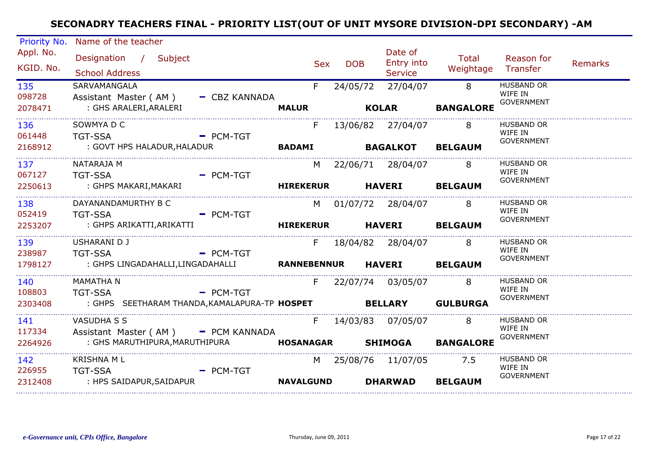| Priority No.                      | Name of the teacher                                                  |                    |            |                |                                         |                    |                                                   |                |
|-----------------------------------|----------------------------------------------------------------------|--------------------|------------|----------------|-----------------------------------------|--------------------|---------------------------------------------------|----------------|
| Appl. No.<br>KGID. No.            | Designation / Subject<br><b>School Address</b>                       |                    | <b>Sex</b> | <b>DOB</b>     | Date of<br>Entry into<br><b>Service</b> | Total<br>Weightage | Reason for<br>Transfer                            | <b>Remarks</b> |
| 135<br>098728                     | SARVAMANGALA<br>Assistant Master (AM)<br>- CBZ KANNADA               | F.                 |            | 24/05/72       | 27/04/07                                | 8                  | <b>HUSBAND OR</b><br>WIFE IN<br><b>GOVERNMENT</b> |                |
| 2078471                           | : GHS ARALERI, ARALERI                                               | <b>MALUR</b>       |            | <b>KOLAR</b>   |                                         | <b>BANGALORE</b>   |                                                   |                |
| 136<br>061448                     | SOWMYA D C<br><b>TGT-SSA</b><br>$=$ PCM-TGT                          | F.                 |            |                | 13/06/82 27/04/07                       | 8                  | <b>HUSBAND OR</b><br>WIFE IN                      |                |
| 2168912                           | : GOVT HPS HALADUR, HALADUR                                          | <b>BADAMI</b>      |            |                | <b>BAGALKOT</b>                         | <b>BELGAUM</b>     | <b>GOVERNMENT</b>                                 |                |
| 137<br>067127                     | NATARAJA M<br><b>TGT-SSA</b><br>$-$ PCM-TGT                          |                    |            |                | M 22/06/71 28/04/07                     | 8                  | <b>HUSBAND OR</b><br>WIFE IN                      |                |
| 2250613<br>______________________ | : GHPS MAKARI,MAKARI                                                 | <b>HIREKERUR</b>   |            |                | <b>HAVERI</b>                           | <b>BELGAUM</b>     | GOVERNMENT                                        |                |
| 138<br>052419                     | DAYANANDAMURTHY B C<br><b>TGT-SSA</b><br>$-$ PCM-TGT                 |                    |            |                | M 01/07/72 28/04/07                     | 8                  | <b>HUSBAND OR</b><br>WIFE IN                      |                |
| 2253207                           | : GHPS ARIKATTI,ARIKATTI                                             | <b>HIREKERUR</b>   |            |                | <b>HAVERI</b>                           | <b>BELGAUM</b>     | <b>GOVERNMENT</b>                                 |                |
| 139<br>238987                     | USHARANI D J<br><b>TGT-SSA</b><br>$=$ PCM-TGT                        | F.                 |            |                | 18/04/82 28/04/07                       | 8                  | <b>HUSBAND OR</b><br>WIFE IN                      |                |
| 1798127                           | : GHPS LINGADAHALLI,LINGADAHALLI                                     | <b>RANNEBENNUR</b> |            |                | <b>HAVERI</b>                           | <b>BELGAUM</b>     | <b>GOVERNMENT</b>                                 |                |
| 140<br>108803                     | <b>MAMATHA N</b><br><b>TGT-SSA</b><br>$=$ PCM-TGT                    | F                  |            |                | 22/07/74 03/05/07                       | $\sim$ 8           | <b>HUSBAND OR</b><br>WIFE IN                      |                |
| 2303408                           | : GHPS SEETHARAM THANDA,KAMALAPURA-TP HOSPET                         |                    |            | <b>BELLARY</b> |                                         | <b>GULBURGA</b>    | <b>GOVERNMENT</b>                                 |                |
| 141<br>117334                     | <b>VASUDHA S S</b>                                                   | F.                 |            |                | 14/03/83 07/05/07                       | 8                  | <b>HUSBAND OR</b><br>WIFE IN                      |                |
| 2264926                           | Assistant Master (AM) - PCM KANNADA<br>: GHS MARUTHIPURA,MARUTHIPURA | <b>HOSANAGAR</b>   |            |                | <b>SHIMOGA</b>                          | <b>BANGALORE</b>   | <b>GOVERNMENT</b>                                 |                |
| 142<br>226955                     | <b>KRISHNA ML</b><br>TGT-SSA<br>$-$ PCM-TGT                          | M                  |            |                | 25/08/76 11/07/05                       | 7.5                | <b>HUSBAND OR</b><br>WIFE IN                      |                |
| 2312408                           | : HPS SAIDAPUR,SAIDAPUR                                              | <b>NAVALGUND</b>   |            |                | <b>DHARWAD</b>                          | <b>BELGAUM</b>     | <b>GOVERNMENT</b>                                 |                |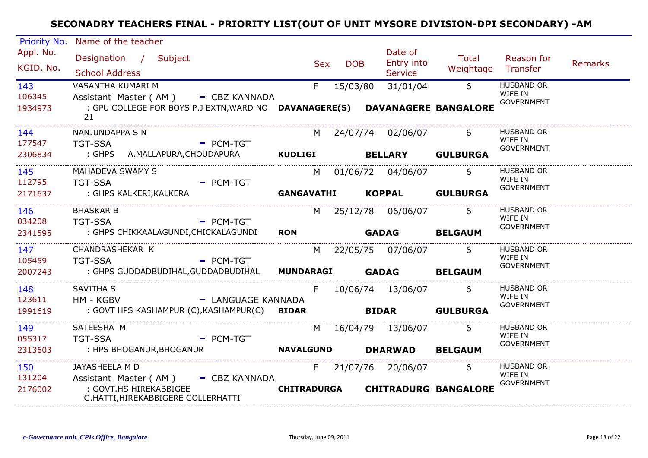| Priority No.                  | Name of the teacher                                                                                                                           |                                  |                                         |                      |                                                   |                |
|-------------------------------|-----------------------------------------------------------------------------------------------------------------------------------------------|----------------------------------|-----------------------------------------|----------------------|---------------------------------------------------|----------------|
| Appl. No.<br>KGID. No.        | Designation / Subject<br><b>School Address</b>                                                                                                | <b>DOB</b><br><b>Sex</b>         | Date of<br>Entry into<br><b>Service</b> | Total<br>Weightage   | Reason for<br>Transfer                            | <b>Remarks</b> |
| 143<br>106345<br>1934973      | VASANTHA KUMARI M<br>Assistant Master (AM) - CBZ KANNADA<br>: GPU COLLEGE FOR BOYS P.J EXTN, WARD NO DAVANAGERE(S) DAVANAGERE BANGALORE<br>21 | F.<br>15/03/80                   | 31/01/04                                | 6                    | <b>HUSBAND OR</b><br>WIFE IN<br><b>GOVERNMENT</b> |                |
| 144<br>177547<br>2306834      | NANJUNDAPPA S N<br><b>TGT-SSA</b><br>$=$ PCM-TGT<br>: GHPS A.MALLAPURA, CHOUDAPURA                                                            | M.<br><b>KUDLIGI</b>             | 24/07/74 02/06/07<br><b>BELLARY</b>     | 6<br><b>GULBURGA</b> | <b>HUSBAND OR</b><br>WIFE IN<br><b>GOVERNMENT</b> |                |
| 145<br>112795<br>2171637      | MAHADEVA SWAMY S<br><b>TGT-SSA</b><br>$-$ PCM-TGT<br>: GHPS KALKERI,KALKERA                                                                   | <b>GANGAVATHI</b>                | M 01/06/72 04/06/07<br>KOPPAL GULBURGA  | 6                    | <b>HUSBAND OR</b><br>WIFE IN<br>GOVERNMENT        |                |
| .<br>146<br>034208<br>2341595 | <b>BHASKAR B</b><br>$=$ PCM-TGT<br><b>TGT-SSA</b><br>: GHPS CHIKKAALAGUNDI,CHICKALAGUNDI                                                      | <b>RON</b>                       | M 25/12/78 06/06/07<br><b>GADAG</b>     | 6<br><b>BELGAUM</b>  | <b>HUSBAND OR</b><br>WIFE IN<br><b>GOVERNMENT</b> |                |
| 147<br>105459<br>2007243      | CHANDRASHEKAR K<br>$=$ PCM-TGT<br><b>TGT-SSA</b><br>: GHPS GUDDADBUDIHAL,GUDDADBUDIHAL                                                        | <b>MUNDARAGI GADAG</b>           | M 22/05/75 07/06/07                     | 6<br><b>BELGAUM</b>  | HUSBAND OR<br>WIFE IN<br><b>GOVERNMENT</b>        |                |
| 148<br>123611<br>1991619      | SAVITHA S<br>- LANGUAGE KANNADA<br>HM - KGBV<br>: GOVT HPS KASHAMPUR (C), KASHAMPUR(C)                                                        | <b>BIDAR</b>                     | F 10/06/74 13/06/07<br><b>BIDAR</b>     | 6<br><b>GULBURGA</b> | <b>HUSBAND OR</b><br>WIFE IN<br><b>GOVERNMENT</b> |                |
| 149<br>055317<br>2313603      | SATEESHA M<br><b>TGT-SSA</b><br>$=$ PCM-TGT<br>: HPS BHOGANUR, BHOGANUR                                                                       | <b>NAVALGUND</b>                 | M 16/04/79 13/06/07<br><b>DHARWAD</b>   | 6<br><b>BELGAUM</b>  | <b>HUSBAND OR</b><br>WIFE IN<br><b>GOVERNMENT</b> |                |
| 150<br>131204<br>2176002      | JAYASHEELA M D<br>Assistant Master (AM) - CBZ KANNADA<br>: GOVT.HS HIREKABBIGEE<br>G.HATTI, HIREKABBIGERE GOLLERHATTI                         | CHITRADURGA CHITRADURG BANGALORE | F 21/07/76 20/06/07                     | 6                    | <b>HUSBAND OR</b><br>WIFE IN<br><b>GOVERNMENT</b> |                |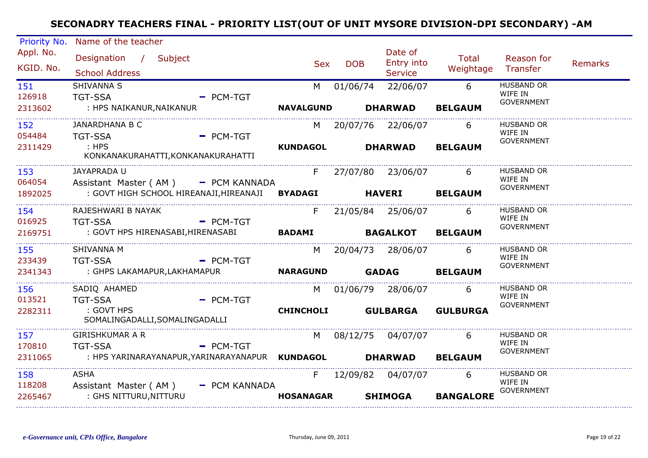| Priority No.           | Name of the teacher                                                                    |                  |            |                                         |                    |                              |                |
|------------------------|----------------------------------------------------------------------------------------|------------------|------------|-----------------------------------------|--------------------|------------------------------|----------------|
| Appl. No.<br>KGID. No. | Designation / Subject<br><b>School Address</b>                                         | <b>Sex</b>       | <b>DOB</b> | Date of<br>Entry into<br><b>Service</b> | Total<br>Weightage | Reason for<br>Transfer       | <b>Remarks</b> |
| 151                    | SHIVANNA S                                                                             | M                | 01/06/74   | 22/06/07                                | 6                  | <b>HUSBAND OR</b>            |                |
| 126918                 | <b>TGT-SSA</b><br>$=$ PCM-TGT                                                          |                  |            |                                         |                    | WIFE IN<br><b>GOVERNMENT</b> |                |
| 2313602                | : HPS NAIKANUR, NAIKANUR                                                               | <b>NAVALGUND</b> |            | <b>DHARWAD</b>                          | <b>BELGAUM</b>     |                              |                |
| 152                    | JANARDHANA B C                                                                         | M                |            | 20/07/76 22/06/07                       | 6                  | <b>HUSBAND OR</b>            |                |
| 054484                 | $=$ PCM-TGT<br><b>TGT-SSA</b>                                                          |                  |            |                                         |                    | WIFE IN<br><b>GOVERNMENT</b> |                |
| 2311429                | $\therefore$ HPS                                                                       | <b>KUNDAGOL</b>  |            | <b>DHARWAD</b>                          | <b>BELGAUM</b>     |                              |                |
|                        | KONKANAKURAHATTI, KONKANAKURAHATTI                                                     |                  |            |                                         |                    |                              |                |
| 153                    | JAYAPRADA U                                                                            | F.               |            | 27/07/80 23/06/07                       | 6                  | <b>HUSBAND OR</b><br>WIFE IN |                |
| 064054                 | Assistant Master (AM) - PCM KANNADA<br>: GOVT HIGH SCHOOL HIREANAJI, HIREANAJI BYADAGI |                  |            |                                         |                    | <b>GOVERNMENT</b>            |                |
| 1892025                |                                                                                        |                  |            | <b>HAVERI</b>                           | <b>BELGAUM</b>     |                              |                |
| 154                    | RAJESHWARI B NAYAK                                                                     | F.               |            | 21/05/84 25/06/07                       | 6                  | <b>HUSBAND OR</b><br>WIFE IN |                |
| 016925                 | <b>TGT-SSA</b><br>$=$ PCM-TGT                                                          |                  |            |                                         |                    | <b>GOVERNMENT</b>            |                |
| 2169751                | : GOVT HPS HIRENASABI, HIRENASABI                                                      | <b>BADAMI</b>    |            | <b>BAGALKOT</b>                         | <b>BELGAUM</b>     |                              |                |
| 155                    | SHIVANNA M                                                                             |                  |            | M 20/04/73 28/06/07                     | 6                  | <b>HUSBAND OR</b>            |                |
| 233439                 | <b>TGT-SSA</b><br>$=$ PCM-TGT                                                          |                  |            |                                         |                    | WIFE IN<br><b>GOVERNMENT</b> |                |
| 2341343                | : GHPS LAKAMAPUR,LAKHAMAPUR                                                            | <b>NARAGUND</b>  |            | <b>GADAG</b>                            | <b>BELGAUM</b>     |                              |                |
| 156                    | SADIQ AHAMED                                                                           |                  |            | M 01/06/79 28/06/07                     | 6                  | <b>HUSBAND OR</b>            |                |
| 013521                 | <b>TGT-SSA</b><br>$-$ PCM-TGT                                                          |                  |            |                                         |                    | WIFE IN<br><b>GOVERNMENT</b> |                |
| 2282311                | : GOVT HPS<br>SOMALINGADALLI, SOMALINGADALLI                                           | <b>CHINCHOLI</b> |            | <b>GULBARGA</b>                         | <b>GULBURGA</b>    |                              |                |
| 157                    | <b>GIRISHKUMAR A R</b>                                                                 | M                |            | 08/12/75 04/07/07                       | 6                  | <b>HUSBAND OR</b>            |                |
| 170810                 | <b>TGT-SSA</b><br>$PCM-TGT$                                                            |                  |            |                                         |                    | WIFE IN<br><b>GOVERNMENT</b> |                |
| 2311065                | : HPS YARINARAYANAPUR,YARINARAYANAPUR KUNDAGOL                                         |                  |            | <b>DHARWAD</b>                          | <b>BELGAUM</b>     |                              |                |
| 158                    | <b>ASHA</b>                                                                            | F.               |            | 12/09/82 04/07/07                       | 6                  | <b>HUSBAND OR</b>            |                |
| 118208                 | Assistant Master (AM)<br>- PCM KANNADA                                                 |                  |            |                                         |                    | WIFE IN<br><b>GOVERNMENT</b> |                |
| 2265467                | : GHS NITTURU, NITTURU                                                                 | <b>HOSANAGAR</b> |            | <b>SHIMOGA</b>                          | <b>BANGALORE</b>   |                              |                |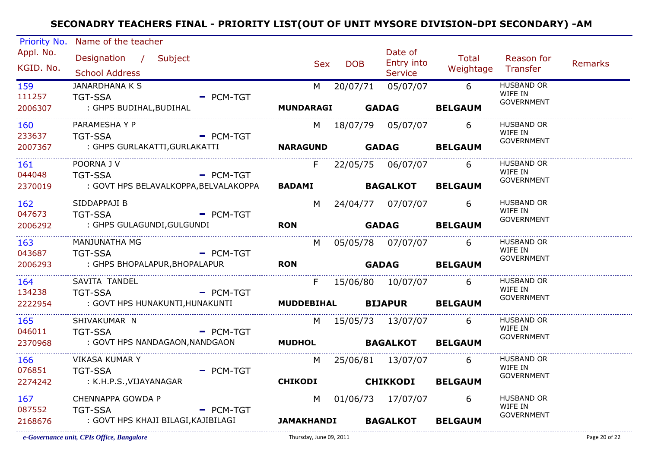| Priority No.           | Name of the teacher                            |             |                        |                 |                                  |                             |                              |         |
|------------------------|------------------------------------------------|-------------|------------------------|-----------------|----------------------------------|-----------------------------|------------------------------|---------|
| Appl. No.<br>KGID. No. | Designation / Subject<br><b>School Address</b> |             | <b>Sex</b>             | <b>DOB</b>      | Date of<br>Entry into<br>Service | Total<br>Weightage Transfer | Reason for                   | Remarks |
| 159                    | <b>JANARDHANA K S</b>                          |             |                        |                 | M 20/07/71 05/07/07              | $6\overline{6}$             | <b>HUSBAND OR</b>            |         |
| 111257                 | <b>TGT-SSA</b>                                 | $-$ PCM-TGT |                        |                 |                                  |                             | WIFE IN                      |         |
| 2006307                | : GHPS BUDIHAL, BUDIHAL                        |             |                        |                 | <b>MUNDARAGI GADAG</b>           | <b>BELGAUM</b>              | <b>GOVERNMENT</b>            |         |
| 160                    | PARAMESHA Y P                                  |             |                        |                 | M 18/07/79 05/07/07              | 6                           | <b>HUSBAND OR</b>            |         |
| 233637                 | - PCM-TGT<br><b>TGT-SSA</b>                    |             |                        |                 |                                  |                             | WIFE IN                      |         |
| 2007367                | : GHPS GURLAKATTI,GURLAKATTI                   |             | NARAGUND GADAG BELGAUM |                 |                                  |                             | <b>GOVERNMENT</b>            |         |
| 161                    | POORNA J V                                     |             | F.                     |                 | 22/05/75 06/07/07                | 6                           | HUSBAND OR                   |         |
| 044048                 | <b>Example 2</b> PCM-TGT<br><b>TGT-SSA</b>     |             |                        |                 |                                  |                             | WIFE IN                      |         |
| 2370019                | : GOVT HPS BELAVALKOPPA,BELVALAKOPPA           |             | <b>BADAMI</b>          |                 | <b>BAGALKOT</b>                  | <b>BELGAUM</b>              | <b>GOVERNMENT</b>            |         |
| 162                    | SIDDAPPAJI B                                   |             |                        |                 | M 24/04/77 07/07/07              | 6                           | HUSBAND OR                   |         |
| 047673                 | <b>TGT-SSA</b><br>- PCM-TGT                    |             |                        |                 |                                  |                             | WIFE IN                      |         |
| 2006292                | : GHPS GULAGUNDI,GULGUNDI                      |             | <b>RON</b>             |                 | <b>GADAG</b>                     | <b>BELGAUM</b>              | GOVERNMENT                   |         |
| 163                    | MANJUNATHA MG                                  |             |                        |                 | M 05/05/78 07/07/07              | -6                          | HUSBAND OR                   |         |
| 043687                 | <b>TGT-SSA</b>                                 | $-$ PCM-TGT |                        |                 |                                  |                             | WIFE IN<br><b>GOVERNMENT</b> |         |
| 2006293                | : GHPS BHOPALAPUR, BHOPALAPUR                  |             | <b>RON</b>             |                 | GADAG BELGAUM                    |                             |                              |         |
| 164                    | SAVITA TANDEL                                  |             | F                      |                 | 15/06/80  10/07/07               | 6                           | HUSBAND OR                   |         |
| 134238                 | <b>TGT-SSA</b>                                 | $-$ PCM-TGT |                        |                 |                                  |                             | WIFE IN<br><b>GOVERNMENT</b> |         |
| 2222954                | : GOVT HPS HUNAKUNTI,HUNAKUNTI                 |             |                        |                 | MUDDEBIHAL BIJAPUR BELGAUM       |                             |                              |         |
| 165                    | SHIVAKUMAR N                                   |             | M                      |                 | 15/05/73  13/07/07               | -6                          | HUSBAND OR                   |         |
| 046011                 | <b>Example 2</b> PCM-TGT<br><b>TGT-SSA</b>     |             |                        |                 |                                  |                             | WIFE IN<br><b>GOVERNMENT</b> |         |
| 2370968                | : GOVT HPS NANDAGAON, NANDGAON                 |             | <b>MUDHOL</b>          | <b>BAGALKOT</b> |                                  | <b>BELGAUM</b>              |                              |         |
| 166                    | <b>VIKASA KUMAR Y</b>                          |             |                        |                 | M 25/06/81 13/07/07              | 6                           | <b>HUSBAND OR</b>            |         |
| 076851                 | <b>Example 2 PCM-TGT</b><br><b>TGT-SSA</b>     |             |                        |                 |                                  |                             | WIFE IN<br><b>GOVERNMENT</b> |         |
| 2274242                | : K.H.P.S.,VIJAYANAGAR                         |             | <b>CHIKODI</b>         |                 | <b>CHIKKODI</b>                  | <b>BELGAUM</b>              |                              |         |
| 167                    | CHENNAPPA GOWDA P                              |             | M                      |                 | 01/06/73 17/07/07                | 6                           | <b>HUSBAND OR</b>            |         |
| 087552                 | <b>TGT-SSA</b>                                 | $=$ PCM-TGT |                        |                 |                                  |                             | WIFE IN<br><b>GOVERNMENT</b> |         |
| 2168676                | : GOVT HPS KHAJI BILAGI,KAJIBILAGI             |             |                        |                 | <b>JAMAKHANDI BAGALKOT</b>       | <b>BELGAUM</b>              |                              |         |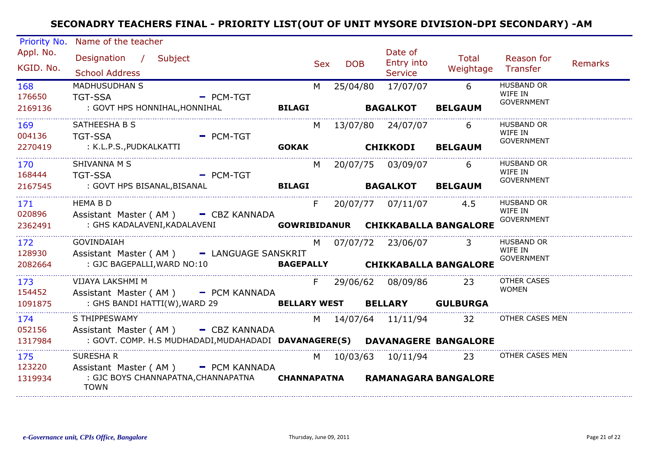| Priority No.             | Name of the teacher                                                                    |                                                                                                                   |                    |     |            |                                            |                                            |                                                   |         |
|--------------------------|----------------------------------------------------------------------------------------|-------------------------------------------------------------------------------------------------------------------|--------------------|-----|------------|--------------------------------------------|--------------------------------------------|---------------------------------------------------|---------|
| Appl. No.<br>KGID. No.   | Designation / Subject<br><b>School Address</b>                                         |                                                                                                                   |                    | Sex | <b>DOB</b> | Date of<br>Entry into<br><b>Service</b>    | Total<br>Weightage                         | Reason for<br>Transfer                            | Remarks |
| 168<br>176650<br>2169136 | <b>MADHUSUDHAN S</b><br><b>TGT-SSA</b><br>: GOVT HPS HONNIHAL,HONNIHAL                 | $=$ PCM-TGT                                                                                                       | <b>BILAGI</b>      | M   | 25/04/80   | 17/07/07<br><b>BAGALKOT</b>                | 6<br><b>BELGAUM</b>                        | <b>HUSBAND OR</b><br>WIFE IN<br><b>GOVERNMENT</b> |         |
| 169<br>004136<br>2270419 | SATHEESHA B S<br>TGT-SSA<br>: K.L.P.S.,PUDKALKATTI                                     | $=$ PCM-TGT                                                                                                       |                    | M   |            | 13/07/80 24/07/07<br><b>GOKAK CHIKKODI</b> | 6<br><b>BELGAUM</b>                        | <b>HUSBAND OR</b><br>WIFE IN<br>GOVERNMENT        |         |
| 170<br>168444<br>2167545 | SHIVANNA M S<br><b>TGT-SSA</b><br>: GOVT HPS BISANAL,BISANAL                           | - PCM-TGT                                                                                                         |                    | M   |            | 20/07/75 03/09/07                          | 6<br>BILAGI BAGALKOT BELGAUM               | <b>HUSBAND OR</b><br>WIFE IN<br>GOVERNMENT        |         |
| 171<br>020896<br>2362491 | <b>HEMA B D</b><br>Assistant Master (AM) - CBZ KANNADA<br>: GHS KADALAVENI, KADALAVENI |                                                                                                                   |                    | F   |            |                                            | 4.5<br>GOWRIBIDANUR CHIKKABALLA BANGALORE  | <b>HUSBAND OR</b><br>WIFE IN<br><b>GOVERNMENT</b> |         |
| 172<br>128930<br>2082664 | GOVINDAIAH<br>: GJC BAGEPALLI, WARD NO:10                                              | Assistant Master (AM) - LANGUAGE SANSKRIT                                                                         |                    |     |            | M 07/07/72 23/06/07                        | 3<br>BAGEPALLY CHIKKABALLA BANGALORE       | <b>HUSBAND OR</b><br>WIFE IN<br><b>GOVERNMENT</b> |         |
| 173<br>154452<br>1091875 | VIJAYA LAKSHMI M<br>: GHS BANDI HATTI(W), WARD 29                                      | Assistant Master (AM) - PCM KANNADA                                                                               |                    |     |            | F 29/06/62 08/09/86                        | 23<br><b>BELLARY WEST BELLARY GULBURGA</b> | <b>OTHER CASES</b><br><b>WOMEN</b>                |         |
| 174<br>052156<br>1317984 | S THIPPESWAMY                                                                          | Assistant Master (AM) - CBZ KANNADA<br>: GOVT. COMP. H.S MUDHADADI, MUDAHADADI DAVANAGERE(S) DAVANAGERE BANGALORE |                    |     |            | M 14/07/64 11/11/94                        | 32                                         | OTHER CASES MEN                                   |         |
| 175<br>123220<br>1319934 | <b>SURESHAR</b><br>Assistant Master (AM) - PCM KANNADA<br><b>TOWN</b>                  | : GJC BOYS CHANNAPATNA, CHANNAPATNA                                                                               | <b>CHANNAPATNA</b> |     |            | M 10/03/63 10/11/94                        | 23<br><b>RAMANAGARA BANGALORE</b>          | OTHER CASES MEN                                   |         |